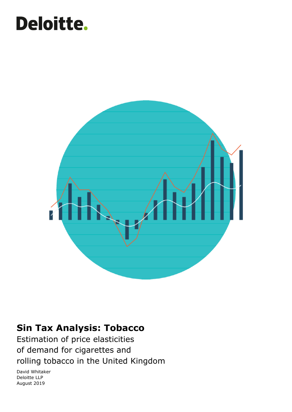# **Deloitte.**



### **Sin Tax Analysis: Tobacco**

Estimation of price elasticities of demand for cigarettes and rolling tobacco in the United Kingdom

David Whitaker Deloitte LLP August 2019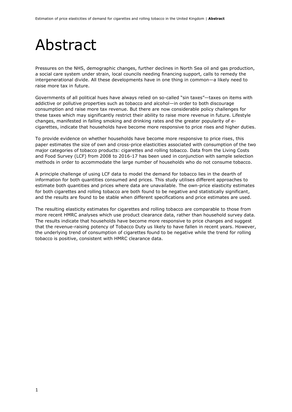### Abstract

Pressures on the NHS, demographic changes, further declines in North Sea oil and gas production, a social care system under strain, local councils needing financing support, calls to remedy the intergenerational divide. All these developments have in one thing in common—a likely need to raise more tax in future.

Governments of all political hues have always relied on so-called "sin taxes"—taxes on items with addictive or pollutive properties such as tobacco and alcohol—in order to both discourage consumption and raise more tax revenue. But there are now considerable policy challenges for these taxes which may significantly restrict their ability to raise more revenue in future. Lifestyle changes, manifested in falling smoking and drinking rates and the greater popularity of ecigarettes, indicate that households have become more responsive to price rises and higher duties.

To provide evidence on whether households have become more responsive to price rises, this paper estimates the size of own and cross-price elasticities associated with consumption of the two major categories of tobacco products: cigarettes and rolling tobacco. Data from the Living Costs and Food Survey (LCF) from 2008 to 2016-17 has been used in conjunction with sample selection methods in order to accommodate the large number of households who do not consume tobacco.

A principle challenge of using LCF data to model the demand for tobacco lies in the dearth of information for both quantities consumed and prices. This study utilises different approaches to estimate both quantities and prices where data are unavailable. The own-price elasticity estimates for both cigarettes and rolling tobacco are both found to be negative and statistically significant, and the results are found to be stable when different specifications and price estimates are used.

The resulting elasticity estimates for cigarettes and rolling tobacco are comparable to those from more recent HMRC analyses which use product clearance data, rather than household survey data. The results indicate that households have become more responsive to price changes and suggest that the revenue-raising potency of Tobacco Duty us likely to have fallen in recent years. However, the underlying trend of consumption of cigarettes found to be negative while the trend for rolling tobacco is positive, consistent with HMRC clearance data.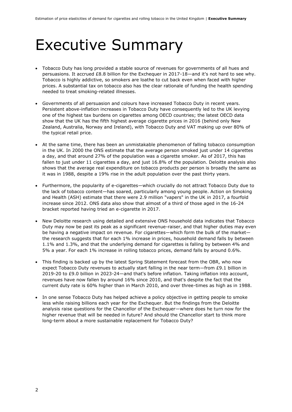### Executive Summary

- Tobacco Duty has long provided a stable source of revenues for governments of all hues and persuasions. It accrued £8.8 billion for the Exchequer in 2017-18—and it's not hard to see why. Tobacco is highly addictive, so smokers are loathe to cut back even when faced with higher prices. A substantial tax on tobacco also has the clear rationale of funding the health spending needed to treat smoking-related illnesses.
- Governments of all persuasion and colours have increased Tobacco Duty in recent years. Persistent above-inflation increases in Tobacco Duty have consequently led to the UK levying one of the highest tax burdens on cigarettes among OECD countries; the latest OECD data show that the UK has the fifth highest average cigarette prices in 2016 (behind only New Zealand, Australia, Norway and Ireland), with Tobacco Duty and VAT making up over 80% of the typical retail price.
- At the same time, there has been an unmistakable phenomenon of falling tobacco consumption in the UK. In 2000 the ONS estimate that the average person smoked just under 14 cigarettes a day, and that around 27% of the population was a cigarette smoker. As of 2017, this has fallen to just under 11 cigarettes a day, and just 16.8% of the population. Deloitte analysis also shows that the average real expenditure on tobacco products per person is broadly the same as it was in 1988, despite a 19% rise in the adult population over the past thirty years.
- Furthermore, the popularity of e-cigarettes—which crucially do not attract Tobacco Duty due to the lack of tobacco content—has soared, particularly among young people. Action on Smoking and Health (ASH) estimate that there were 2.9 million "vapers" in the UK in 2017, a fourfold increase since 2012. ONS data also show that almost of a third of those aged in the 16-24 bracket reported having tried an e-cigarette in 2017.
- New Deloitte research using detailed and extensive ONS household data indicates that Tobacco Duty may now be past its peak as a significant revenue-raiser, and that higher duties may even be having a negative impact on revenue. For cigarettes—which form the bulk of the market the research suggests that for each 1% increase in prices, household demand falls by between 1.1% and 1.3%, and that the underlying demand for cigarettes is falling by between 4% and 5% a year. For each 1% increase in rolling tobacco prices, demand falls by around 0.6%.
- This finding is backed up by the latest Spring Statement forecast from the OBR, who now expect Tobacco Duty revenues to actually start falling in the near term—from £9.1 billion in 2019-20 to £9.0 billion in 2023-24—and that's before inflation. Taking inflation into account, revenues have now fallen by around 16% since 2010, and that's despite the fact that the current duty rate is 60% higher than in March 2010, and over three-times as high as in 1988.
- In one sense Tobacco Duty has helped achieve a policy objective in getting people to smoke less while raising billions each year for the Exchequer. But the findings from the Deloitte analysis raise questions for the Chancellor of the Exchequer—where does he turn now for the higher revenue that will be needed in future? And should the Chancellor start to think more long-term about a more sustainable replacement for Tobacco Duty?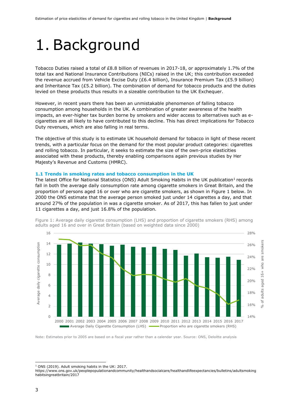### 1. Background

Tobacco Duties raised a total of £8.8 billion of revenues in 2017-18, or approximately 1.7% of the total tax and National Insurance Contributions (NICs) raised in the UK; this contribution exceeded the revenue accrued from Vehicle Excise Duty (£6.4 billion), Insurance Premium Tax (£5.9 billion) and Inheritance Tax (£5.2 billion). The combination of demand for tobacco products and the duties levied on these products thus results in a sizeable contribution to the UK Exchequer.

However, in recent years there has been an unmistakable phenomenon of falling tobacco consumption among households in the UK. A combination of greater awareness of the health impacts, an ever-higher tax burden borne by smokers and wider access to alternatives such as ecigarettes are all likely to have contributed to this decline. This has direct implications for Tobacco Duty revenues, which are also falling in real terms.

The objective of this study is to estimate UK household demand for tobacco in light of these recent trends, with a particular focus on the demand for the most popular product categories: cigarettes and rolling tobacco. In particular, it seeks to estimate the size of the own-price elasticities associated with these products, thereby enabling comparisons again previous studies by Her Majesty's Revenue and Customs (HMRC).

#### **1.1 Trends in smoking rates and tobacco consumption in the UK**

The latest Office for National Statistics (ONS) Adult Smoking Habits in the UK publication<sup>1</sup> records fall in both the average daily consumption rate among cigarette smokers in Great Britain, and the proportion of persons aged 16 or over who are cigarette smokers, as shown in Figure 1 below. In 2000 the ONS estimate that the average person smoked just under 14 cigarettes a day, and that around 27% of the population in was a cigarette smoker. As of 2017, this has fallen to just under 11 cigarettes a day, and just 16.8% of the population.



Figure 1: Average daily cigarette consumption (LHS) and proportion of cigarette smokers (RHS) among adults aged 16 and over in Great Britain (based on weighted data since 2000)

Note: Estimates prior to 2005 are based on a fiscal year rather than a calendar year. Source: ONS, Deloitte analysis

https://www.ons.gov.uk/peoplepopulationandcommunity/healthandsocialcare/healthandlifeexpectancies/bulletins/adultsmoking habitsingreatbritain/2017

<sup>-</sup><sup>1</sup> ONS (2019). Adult smoking habits in the UK: 2017.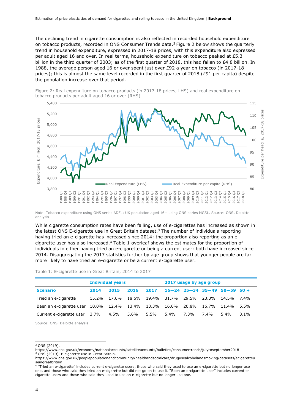The declining trend in cigarette consumption is also reflected in recorded household expenditure on tobacco products, recorded in ONS Consumer Trends data.<sup>2</sup> Figure 2 below shows the quarterly trend in household expenditure, expressed in 2017-18 prices, with this expenditure also expressed per adult aged 16 and over. In real terms, household expenditure on tobacco peaked at £5.3 billion in the third quarter of 2003; as of the first quarter of 2018, this had fallen to  $E4.8$  billion. In 1988, the average person aged 16 or over spent just over £92 a year on tobacco (in 2017-18 prices); this is almost the same level recorded in the first quarter of 2018 (£91 per capita) despite the population increase over that period.





Note: Tobacco expenditure using ONS series ADFL; UK population aged 16+ using ONS series MGSL. Source: ONS, Deloitte analysis

While cigarette consumption rates have been falling, use of e-cigarettes has increased as shown in the latest ONS E-cigarette use in Great Britain dataset.<sup>3</sup> The number of individuals reporting having tried an e-cigarette has increased since 2014; the proportion also reporting as an ecigarette user has also increased.<sup>4</sup> Table 1 overleaf shows the estimates for the proportion of individuals in either having tried an e-cigarette or being a current user: both have increased since 2014. Disaggregating the 2017 statistics further by age group shows that younger people are far more likely to have tried an e-cigarette or be a current e-cigarette user.

|                                                  |       | <b>Individual years</b> |       |             |         | 2017 usage by age group |       |                                      |         |
|--------------------------------------------------|-------|-------------------------|-------|-------------|---------|-------------------------|-------|--------------------------------------|---------|
| <b>Scenario</b>                                  | 2014  | 2015                    | 2016  | 2017        |         |                         |       | $16-24$ $25-34$ $35-49$ $50-59$ 60 + |         |
| Tried an e-cigarette                             | 15.2% | 17.6%                   | 18.6% | 19.4% 31.7% |         | 29.5%                   | 23.3% | 14.5% 7.4%                           |         |
| Been an e-cigarette user 10.0% 12.4% 13.4% 13.3% |       |                         |       |             | 16.6%   | 20.8%                   | 16.7% | 11.4%                                | $5.5\%$ |
| Current e-cigarette user                         | 3.7%  | 4.5%                    | 5.6%  | $5.5\%$     | $5.4\%$ | 7.3%                    | 7.4%  | $5.4\%$                              | $3.1\%$ |

#### Table 1: E-cigarette use in Great Britain, 2014 to 2017

Source: ONS, Deloitte analysis

 $2$  ONS (2019).

https://www.ons.gov.uk/economy/nationalaccounts/satelliteaccounts/bulletins/consumertrends/julytoseptember2018 <sup>3</sup> ONS (2019). E-cigarette use in Great Britain.

https://www.ons.gov.uk/peoplepopulationandcommunity/healthandsocialcare/drugusealcoholandsmoking/datasets/ecigaretteu seingreatbritain

<sup>4</sup> "Tried an e-cigarette" includes current e-cigarette users, those who said they used to use an e-cigarette but no longer use one, and those who said they tried an e-cigarette but did not go on to use it. "Been an e-cigarette user" includes current ecigarette users and those who said they used to use an e-cigarette but no longer use one.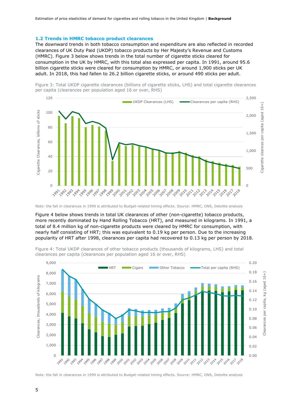### **1.2 Trends in HMRC tobacco product clearances**

The downward trends in both tobacco consumption and expenditure are also reflected in recorded clearances of UK Duty Paid (UKDP) tobacco products by Her Majesty's Revenue and Customs (HMRC). Figure 3 below shows trends in the total number of cigarette sticks cleared for consumption in the UK by HMRC, with this total also expressed per capita. In 1991, around 95.6 billion cigarette sticks were cleared for consumption by HMRC, or around 1,900 sticks per UK adult. In 2018, this had fallen to 26.2 billion cigarette sticks, or around 490 sticks per adult.





Note: the fall in clearances in 1999 is attributed to Budget-related timing effects. Source: HMRC, ONS, Deloitte analysis

Figure 4 below shows trends in total UK clearances of other (non-cigarette) tobacco products, more recently dominated by Hand Rolling Tobacco (HRT), and measured in kilograms. In 1991, a total of 8.4 million kg of non-cigarette products were cleared by HMRC for consumption, with nearly half consisting of HRT; this was equivalent to 0.19 kg per person. Due to the increasing popularity of HRT after 1998, clearances per capita had recovered to 0.13 kg per person by 2018.



Figure 4: Total UKDP clearances of other tobacco products (thousands of kilograms, LHS) and total clearances per capita (clearances per population aged 16 or over, RHS)

Note: the fall in clearances in 1999 is attributed to Budget-related timing effects. Source: HMRC, ONS, Deloitte analysis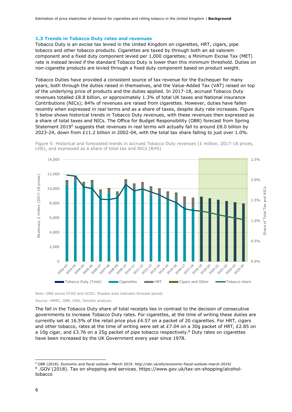### **1.3 Trends in Tobacco Duty rates and revenues**

Tobacco Duty is an excise tax levied in the United Kingdom on cigarettes, HRT, cigars, pipe tobacco and other tobacco products. Cigarettes are taxed by through both an ad valorem component and a fixed duty component levied per 1,000 cigarettes; a Minimum Excise Tax (MET) rate is instead levied if the standard Tobacco Duty is lower than this minimum threshold. Duties on non-cigarette products are levied through a fixed duty component based on product weight.

Tobacco Duties have provided a consistent source of tax revenue for the Exchequer for many years, both through the duties raised in themselves, and the Value-Added Tax (VAT) raised on top of the underlying price of products and the duties applied. In 2017-18, accrued Tobacco Duty revenues totalled £8.8 billion, or approximately 1.3% of total UK taxes and National insurance Contributions (NICs); 84% of revenues are raised from cigarettes. However, duties have fallen recently when expressed in real terms and as a share of taxes, despite duty rate increases. Figure 5 below shows historical trends in Tobacco Duty revenues, with these revenues then expressed as a share of total taxes and NICs. The Office for Budget Responsibility (OBR) forecast from Spring Statement 2019<sup>5</sup> suggests that revenues in real terms will actually fall to around £8.0 billion by 2023-24, down from £11.2 billion in 2002-04, with the total tax share falling to just over 1.0%.



Figure 5: Historical and forecasted trends in accrued Tobacco Duty revenues (£ million, 2017-18 prices, LHS), and expressed as a share of total tax and NICs (RHS)

Note: ONS series GTAO and GCSU. Shaded area indicates forecast period.

Source: HMRC, OBR, ONS, Deloitte analysis.

The fall in the Tobacco Duty share of total receipts lies in contrast to the decision of consecutive governments to increase Tobacco Duty rates. For cigarettes, at the time of writing these duties are currently set at 16.5% of the retail price plus £4.57 on a packet of 20 cigarettes. For HRT, cigars and other tobacco, rates at the time of writing were set at £7.04 on a 30q packet of HRT, £2.85 on a 10g cigar, and  $E3.76$  on a 25g packet of pipe tobacco respectively.<sup>6</sup> Duty rates on cigarettes have been increased by the UK Government every year since 1978.

<sup>-</sup><sup>5</sup> OBR (2018). Economic and fiscal outlook—March 2019. http://obr.uk/efo/economic-fiscal-outlook-march-2019/ 6 .GOV (2018). Tax on shopping and services. https://www.gov.uk/tax-on-shopping/alcoholtobacco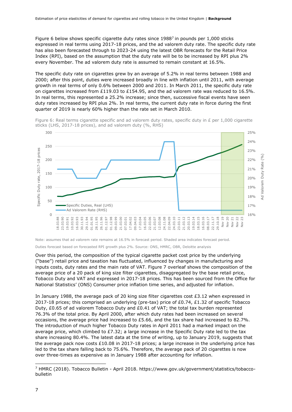Figure 6 below shows specific cigarette duty rates since  $1988^7$  in pounds per 1,000 sticks expressed in real terms using 2017-18 prices, and the ad valorem duty rate. The specific duty rate has also been forecasted through to 2023-24 using the latest OBR forecasts for the Retail Price Index (RPI), based on the assumption that the duty rate will be to be increased by RPI plus 2% every November. The ad valorem duty rate is assumed to remain constant at 16.5%.

The specific duty rate on cigarettes grew by an average of 5.2% in real terms between 1988 and 2000; after this point, duties were increased broadly in line with inflation until 2011, with average growth in real terms of only 0.6% between 2000 and 2011. In March 2011, the specific duty rate on cigarettes increased from £119.03 to £154.95, and the ad valorem rate was reduced to 16.5%. In real terms, this represented a 25.2% increase; since then, successive fiscal events have seen duty rates increased by RPI plus 2%. In real terms, the current duty rate in force during the first quarter of 2019 is nearly 60% higher than the rate set in March 2010.





Note: assumes that ad valorem rate remains at 16.5% in forecast period. Shaded area indicates forecast period.

Duties forecast based on forecasted RPI growth plus 2%. Source: ONS, HMRC, OBR, Deloitte analysis

Over this period, the composition of the typical cigarette packet cost price by the underlying ("base") retail price and taxation has fluctuated, influenced by changes in manufacturing and inputs costs, duty rates and the main rate of VAT. Figure 7 overleaf shows the composition of the average price of a 20 pack of king size filter cigarettes, disaggregated by the base retail price, Tobacco Duty and VAT and expressed in 2017-18 prices. This has been sourced from the Office for National Statistics' (ONS) Consumer price inflation time series, and adjusted for inflation.

In January 1988, the average pack of 20 king size filter cigarettes cost £3.12 when expressed in 2017-18 prices; this comprised an underlying (pre-tax) price of £0.74, £1.32 of specific Tobacco Duty, £0.65 of ad valorem Tobacco Duty and £0.41 of VAT; the total tax burden represented 76.3% of the total price. By April 2000, after which duty rates had been increased on several occasions, the average price had increased to £5.66, and the tax share had increased to 82.7%. The introduction of much higher Tobacco Duty rates in April 2011 had a marked impact on the average price, which climbed to  $E7.32$ ; a large increase in the Specific Duty rate led to the tax share increasing 80.4%. The latest data at the time of writing, up to January 2019, suggests that the average pack now costs £10.08 in 2017-18 prices; a large increase in the underlying price has led to the tax share falling back to 75.6%. Therefore, the average pack of 20 cigarettes is now over three-times as expensive as in January 1988 after accounting for inflation.

<sup>-</sup><sup>7</sup> HMRC (2018). Tobacco Bulletin - April 2018. https://www.gov.uk/government/statistics/tobaccobulletin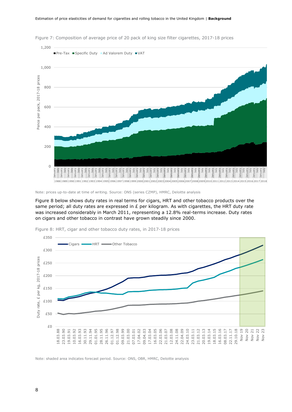

Figure 7: Composition of average price of 20 pack of king size filter cigarettes, 2017-18 prices

Figure 8 below shows duty rates in real terms for cigars, HRT and other tobacco products over the same period; all duty rates are expressed in  $E$  per kilogram. As with cigarettes, the HRT duty rate was increased considerably in March 2011, representing a 12.8% real-terms increase. Duty rates on cigars and other tobacco in contrast have grown steadily since 2000.



Figure 8: HRT, cigar and other tobacco duty rates, in 2017-18 prices

Note: shaded area indicates forecast period. Source: ONS, OBR, HMRC, Deloitte analysis

Note: prices up-to-date at time of writing. Source: ONS (series CZMP), HMRC, Deloitte analysis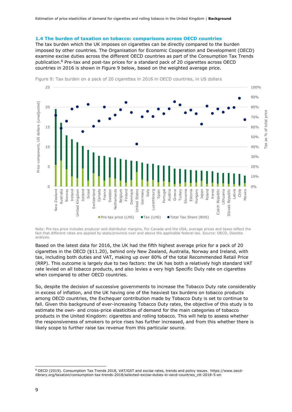#### **1.4 The burden of taxation on tobacco: comparisons across OECD countries**

The tax burden which the UK imposes on cigarettes can be directly compared to the burden imposed by other countries. The Organisation for Economic Cooperation and Development (OECD) examine excise duties across the different OECD countries as part of the Consumption Tax Trends publication.<sup>8</sup> Pre-tax and post-tax prices for a standard pack of 20 cigarettes across OECD countries in 2016 is shown in Figure 9 below, based on the weighted average price.



Figure 9: Tax burden on a pack of 20 cigarettes in 2016 in OECD countries, in US dollars

Note: Pre-tax price includes producer and distributor margins. For Canada and the USA, average prices and taxes reflect the fact that different rates are applied by state/province over and above the applicable federal tax. Source: OECD, Deloitte analysis.

Based on the latest data for 2016, the UK had the fifth highest average price for a pack of 20 cigarettes in the OECD (\$11.20), behind only New Zealand, Australia, Norway and Ireland, with tax, including both duties and VAT, making up over 80% of the total Recommended Retail Price (RRP). This outcome is largely due to two factors: the UK has both a relatively high standard VAT rate levied on all tobacco products, and also levies a very high Specific Duty rate on cigarettes when compared to other OECD countries.

So, despite the decision of successive governments to increase the Tobacco Duty rate considerably in excess of inflation, and the UK having one of the heaviest tax burdens on tobacco products among OECD countries, the Exchequer contribution made by Tobacco Duty is set to continue to fall. Given this background of ever-increasing Tobacco Duty rates, the objective of this study is to estimate the own- and cross-price elasticities of demand for the main categories of tobacco products in the United Kingdom: cigarettes and rolling tobacco. This will help to assess whether the responsiveness of smokers to price rises has further increased, and from this whether there is likely scope to further raise tax revenue from this particular source.

<sup>8</sup> OECD (2019). Consumption Tax Trends 2018, VAT/GST and excise rates, trends and policy issues. https://www.oecdilibrary.org/taxation/consumption-tax-trends-2018/selected-excise-duties-in-oecd-countries\_ctt-2018-5-en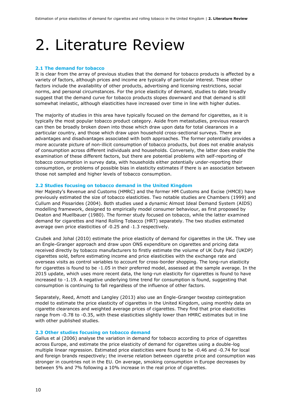### 2. Literature Review

#### **2.1 The demand for tobacco**

It is clear from the array of previous studies that the demand for tobacco products is affected by a variety of factors, although prices and income are typically of particular interest. These other factors include the availability of other products, advertising and licensing restrictions, social norms, and personal circumstances. For the price elasticity of demand, studies to date broadly suggest that the demand curve for tobacco products slopes downward and that demand is still somewhat inelastic, although elasticities have increased over time in line with higher duties.

The majority of studies in this area have typically focused on the demand for cigarettes, as it is typically the most popular tobacco product category. Aside from metastudies, previous research can then be broadly broken down into those which draw upon data for total clearances in a particular country, and those which draw upon household cross-sectional surveys. There are advantages and disadvantages associated with both approaches. The former potentially provides a more accurate picture of non-illicit consumption of tobacco products, but does not enable analysis of consumption across different individuals and households. Conversely, the latter does enable the examination of these different factors, but there are potential problems with self-reporting of tobacco consumption in survey data, with households either potentially under-reporting their consumption, or problems of possible bias in elasticity estimates if there is an association between those not sampled and higher levels of tobacco consumption.

### **2.2 Studies focusing on tobacco demand in the United Kingdom**

Her Majesty's Revenue and Customs (HMRC) and the former HM Customs and Excise (HMCE) have previously estimated the size of tobacco elasticities. Two notable studies are Chambers (1999) and Cullum and Pissarides (2004). Both studies used a dynamic Almost Ideal Demand System (AIDS) modelling framework, designed to empirically model consumer behaviour, as first proposed by Deaton and Muellbauer (1980). The former study focused on tobacco, while the latter examined demand for cigarettes and Hand Rolling Tobacco (HRT) separately. The two studies estimated average own price elasticities of ‐0.25 and ‐1.3 respectively.

Czubek and Johal (2010) estimate the price elasticity of demand for cigarettes in the UK. They use an Engle-Granger approach and draw upon ONS expenditure on cigarettes and pricing data received directly by tobacco manufacturers to firstly estimate the volume of UK Duty Paid (UKDP) cigarettes sold, before estimating income and price elasticities with the exchange rate and overseas visits as control variables to account for cross-border shopping. The long-run elasticity for cigarettes is found to be -1.05 in their preferred model, assessed at the sample average. In the 2015 update, which uses more recent data, the long-run elasticity for cigarettes is found to have increased to -1.19. A negative underlying time trend for consumption is found, suggesting that consumption is continuing to fall regardless of the influence of other factors.

Separately, Reed, Arnott and Langley (2013) also use an Engle-Granger twostep cointegration model to estimate the price elasticity of cigarettes in the United Kingdom, using monthly data on cigarette clearances and weighted average prices of cigarettes. They find that price elasticities range from -0.78 to -0.35, with these elasticities slightly lower than HMRC estimates but in line with other published studies.

#### **2.3 Other studies focusing on tobacco demand**

Gallus et al (2006) analyse the variation in demand for tobacco according to price of cigarettes across Europe, and estimate the price elasticity of demand for cigarettes using a double-log multiple linear regression. Estimated price elasticities were found to be -0.46 and -0.74 for local and foreign brands respectively; the inverse relation between cigarette price and consumption was stronger in countries not in the EU. On average, smoking consumption in Europe decreases by between 5% and 7% following a 10% increase in the real price of cigarettes.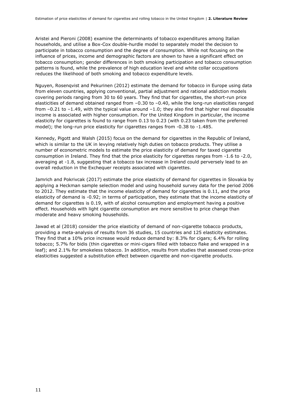Aristei and Pieroni (2008) examine the determinants of tobacco expenditures among Italian households, and utilise a Box-Cox double-hurdle model to separately model the decision to participate in tobacco consumption and the degree of consumption. While not focusing on the influence of prices, income and demographic factors are shown to have a significant effect on tobacco consumption; gender differences in both smoking participation and tobacco consumption patterns is found, while the prevalence of high education level and white collar occupations reduces the likelihood of both smoking and tobacco expenditure levels.

Nguyen, Rosenqvist and Pekurinen (2012) estimate the demand for tobacco in Europe using data from eleven countries, applying conventional, partial adjustment and rational addiction models covering periods ranging from 30 to 60 years. They find that for cigarettes, the short-run price elasticities of demand obtained ranged from –0.30 to –0.40, while the long-run elasticities ranged from –0.21 to –1.49, with the typical value around –1.0; they also find that higher real disposable income is associated with higher consumption. For the United Kingdom in particular, the income elasticity for cigarettes is found to range from 0.13 to 0.23 (with 0.23 taken from the preferred model); the long-run price elasticity for cigarettes ranges from -0.38 to -1.485.

Kennedy, Pigott and Walsh (2015) focus on the demand for cigarettes in the Republic of Ireland, which is similar to the UK in levying relatively high duties on tobacco products. They utilise a number of econometric models to estimate the price elasticity of demand for taxed cigarette consumption in Ireland. They find that the price elasticity for cigarettes ranges from -1.6 to -2.0, averaging at -1.8, suggesting that a tobacco tax increase in Ireland could perversely lead to an overall reduction in the Exchequer receipts associated with cigarettes.

Jamrich and Pokrivcak (2017) estimate the price elasticity of demand for cigarettes in Slovakia by applying a Heckman sample selection model and using household survey data for the period 2006 to 2012. They estimate that the income elasticity of demand for cigarettes is 0.11, and the price elasticity of demand is -0.92; in terms of participation, they estimate that the income elasticity of demand for cigarettes is 0.19, with of alcohol consumption and employment having a positive effect. Households with light cigarette consumption are more sensitive to price change than moderate and heavy smoking households.

Jawad et al (2018) consider the price elasticity of demand of non-cigarette tobacco products, providing a meta-analysis of results from 36 studies, 15 countries and 125 elasticity estimates. They find that a 10% price increase would reduce demand by: 8.3% for cigars; 6.4% for rolling tobacco; 5.7% for bidis (thin cigarettes or mini-cigars filled with tobacco flake and wrapped in a leaf); and 2.1% for smokeless tobacco. In addition, results from studies that assessed cross-price elasticities suggested a substitution effect between cigarette and non-cigarette products.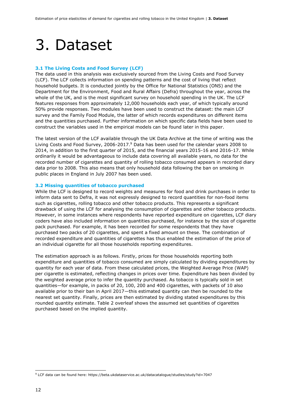### 3. Dataset

### **3.1 The Living Costs and Food Survey (LCF)**

The data used in this analysis was exclusively sourced from the Living Costs and Food Survey (LCF). The LCF collects information on spending patterns and the cost of living that reflect household budgets. It is conducted jointly by the Office for National Statistics (ONS) and the Department for the Environment, Food and Rural Affairs (Defra) throughout the year, across the whole of the UK, and is the most significant survey on household spending in the UK. The LCF features responses from approximately 12,000 households each year, of which typically around 50% provide responses. Two modules have been used to construct the dataset: the main LCF survey and the Family Food Module, the latter of which records expenditures on different items and the quantities purchased. Further information on which specific data fields have been used to construct the variables used in the empirical models can be found later in this paper.

The latest version of the LCF available through the UK Data Archive at the time of writing was the Living Costs and Food Survey, 2006-2017.<sup>9</sup> Data has been used for the calendar years 2008 to 2014, in addition to the first quarter of 2015, and the financial years 2015-16 and 2016-17. While ordinarily it would be advantageous to include data covering all available years, no data for the recorded number of cigarettes and quantity of rolling tobacco consumed appears in recorded diary data prior to 2008. This also means that only household data following the ban on smoking in public places in England in July 2007 has been used.

### **3.2 Missing quantities of tobacco purchased**

While the LCF is designed to record weights and measures for food and drink purchases in order to inform data sent to Defra, it was not expressly designed to record quantities for non-food items such as cigarettes, rolling tobacco and other tobacco products. This represents a significant drawback of using the LCF for analysing the consumption of cigarettes and other tobacco products. However, in some instances where respondents have reported expenditure on cigarettes, LCF diary coders have also included information on quantities purchased, for instance by the size of cigarette pack purchased. For example, it has been recorded for some respondents that they have purchased two packs of 20 cigarettes, and spent a fixed amount on these. The combination of recorded expenditure and quantities of cigarettes has thus enabled the estimation of the price of an individual cigarette for all those households reporting expenditures.

The estimation approach is as follows. Firstly, prices for those households reporting both expenditure and quantities of tobacco consumed are simply calculated by dividing expenditures by quantity for each year of data. From these calculated prices, the Weighted Average Price (WAP) per cigarette is estimated, reflecting changes in prices over time. Expenditure has been divided by the weighted average price to infer the quantity purchased. As tobacco is typically sold in set quantities—for example, in packs of 20, 100, 200 and 400 cigarettes, with packets of 10 also available prior to their ban in April 2017—this estimated quantity can then be rounded to the nearest set quantity. Finally, prices are then estimated by dividing stated expenditures by this rounded quantity estimate. Table 2 overleaf shows the assumed set quantities of cigarettes purchased based on the implied quantity.

<sup>9</sup> LCF data can be found here: https://beta.ukdataservice.ac.uk/datacatalogue/studies/study?id=7047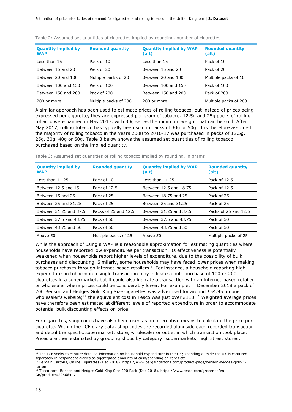| <b>Quantity implied by</b><br><b>WAP</b> | <b>Rounded quantity</b> | <b>Quantity implied by WAP</b><br>(alt) | <b>Rounded quantity</b><br>(alt) |
|------------------------------------------|-------------------------|-----------------------------------------|----------------------------------|
| Less than 15                             | Pack of 10              | Less than 15                            | Pack of 10                       |
| Between 15 and 20                        | Pack of 20              | Between 15 and 20                       | Pack of 20                       |
| Between 20 and 100                       | Multiple packs of 20    | Between 20 and 100                      | Multiple packs of 10             |
| Between 100 and 150                      | Pack of 100             | Between 100 and 150                     | Pack of 100                      |
| Between 150 and 200                      | Pack of 200             | Between 150 and 200                     | Pack of 200                      |
| 200 or more                              | Multiple packs of 200   | 200 or more                             | Multiple packs of 200            |

Table 2: Assumed set quantities of cigarettes implied by rounding, number of cigarettes

A similar approach has been used to estimate prices of rolling tobacco, but instead of prices being expressed per cigarette, they are expressed per gram of tobacco. 12.5g and 25g packs of rolling tobacco were banned in May 2017, with 30g set as the minimum weight that can be sold. After May 2017, rolling tobacco has typically been sold in packs of 30g or 50g. It is therefore assumed the majority of rolling tobacco in the years 2008 to 2016-17 was purchased in packs of 12.5g, 25g, 30g, 40g or 50g. Table 3 below shows the assumed set quantities of rolling tobacco purchased based on the implied quantity.

|  |  |  |  |  |  |  |  |  | Table 3: Assumed set quantities of rolling tobacco implied by rounding, in grams |  |  |  |
|--|--|--|--|--|--|--|--|--|----------------------------------------------------------------------------------|--|--|--|
|--|--|--|--|--|--|--|--|--|----------------------------------------------------------------------------------|--|--|--|

| <b>Quantity implied by</b><br><b>WAP</b> | <b>Rounded quantity</b> | <b>Quantity implied by WAP</b><br>(alt) | <b>Rounded quantity</b><br>(alt) |
|------------------------------------------|-------------------------|-----------------------------------------|----------------------------------|
| Less than $11.25$                        | Pack of 10              | Less than $11.25$                       | Pack of 12.5                     |
| Between 12.5 and 15                      | Pack of 12.5            | Between 12.5 and 18.75                  | Pack of 12.5                     |
| Between 15 and 25                        | Pack of 25              | Between 18.75 and 25                    | Pack of 25                       |
| Between 25 and 31.25                     | Pack of 25              | Between 25 and 31.25                    | Pack of 25                       |
| Between 31.25 and 37.5                   | Packs of 25 and 12.5    | Between 31.25 and 37.5                  | Packs of 25 and 12.5             |
| Between 37.5 and 43.75                   | Pack of 50              | Between 37.5 and 43.75                  | Pack of 50                       |
| Between 43.75 and 50                     | Pack of 50              | Between 43.75 and 50                    | Pack of 50                       |
| Above 50                                 | Multiple packs of 25    | Above 50                                | Multiple packs of 25             |

While the approach of using a WAP is a reasonable approximation for estimating quantities where households have reported low expenditures per transaction, its effectiveness is potentially weakened when households report higher levels of expenditure, due to the possibility of bulk purchases and discounting. Similarly, some households may have faced lower prices when making tobacco purchases through internet-based retailers.<sup>10</sup> For instance, a household reporting high expenditure on tobacco in a single transaction may indicate a bulk purchase of 100 or 200 cigarettes in a supermarket, but it could also indicate a transaction with an internet-based retailer or wholesaler where prices could be considerably lower. For example, in December 2018 a pack of 200 Benson and Hedges Gold King Size cigarettes was advertised for around £54.95 on one wholesaler's website;<sup>11</sup> the equivalent cost in Tesco was just over £113.<sup>12</sup> Weighted average prices have therefore been estimated at different levels of reported expenditure in order to accommodate potential bulk discounting effects on price.

For cigarettes, shop codes have also been used as an alternative means to calculate the price per cigarette. Within the LCF diary data, shop codes are recorded alongside each recorded transaction and detail the specific supermarket, store, wholesaler or outlet in which transaction took place. Prices are then estimated by grouping shops by category: supermarkets, high street stores;

 $10$  The LCF seeks to capture detailed information on household expenditure in the UK; spending outside the UK is captured separately in respondent diaries as aggregated amounts of cash/spending on cards etc.

<sup>11</sup> Bargain Cartons, Online Cigarettes (Dec 2018). https://www.bargaincartons.com/product-page/benson-hedges-gold-1 carton <sup>12</sup> Tesco.com. Benson and Hedges Gold King Size 200 Pack (Dec 2018). https://www.tesco.com/groceries/en-

GB/products/295664471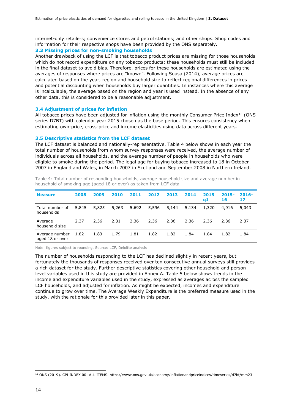internet-only retailers; convenience stores and petrol stations; and other shops. Shop codes and information for their respective shops have been provided by the ONS separately.

### **3.3 Missing prices for non-smoking households**

Another drawback of using the LCF is that tobacco product prices are missing for those households which do not record expenditure on any tobacco products; these households must still be included in the final dataset to avoid bias. Therefore, prices for these households are estimated using the averages of responses where prices are "known". Following Sousa (2014), average prices are calculated based on the year, region and household size to reflect regional differences in prices and potential discounting when households buy larger quantities. In instances where this average is incalculable, the average based on the region and year is used instead. In the absence of any other data, this is considered to be a reasonable adjustment.

### **3.4 Adjustment of prices for inflation**

All tobacco prices have been adjusted for inflation using the monthly Consumer Price Index<sup>13</sup> (ONS series D7BT) with calendar year 2015 chosen as the base period. This ensures consistency when estimating own-price, cross-price and income elasticities using data across different years.

#### **3.5 Descriptive statistics from the LCF dataset**

The LCF dataset is balanced and nationally-representative. Table 4 below shows in each year the total number of households from whom survey responses were received, the average number of individuals across all households, and the average number of people in households who were eligible to smoke during the period. The legal age for buying tobacco increased to 18 in October 2007 in England and Wales, in March 2007 in Scotland and September 2008 in Northern Ireland.

| <b>Measure</b>                    | 2008  | 2009  | 2010  | 2011  | 2012  | 2013  | 2014  | 2015<br><b>q1</b> | $2015 -$<br>16 | $2016 -$<br>17 |
|-----------------------------------|-------|-------|-------|-------|-------|-------|-------|-------------------|----------------|----------------|
| Total number of<br>households     | 5,845 | 5,825 | 5,263 | 5,692 | 5,596 | 5,144 | 5,134 | 1,320             | 4,916          | 5.043          |
| Average<br>household size         | 2.37  | 2.36  | 2.31  | 2.36  | 2.36  | 2.36  | 2.36  | 2.36              | 2.36           | 2.37           |
| Average number<br>aged 18 or over | 1.82  | 1.83  | 1.79  | 1.81  | 1.82  | 1.82  | 1.84  | 1.84              | 1.82           | 1.84           |

Table 4: Total number of responding households, average household size and average number in household of smoking age (aged 18 or over) as taken from LCF data

Note: figures subject to rounding. Source: LCF, Deloitte analysis

The number of households responding to the LCF has declined slightly in recent years, but fortunately the thousands of responses received over ten consecutive annual surveys still provides a rich dataset for the study. Further descriptive statistics covering other household and personlevel variables used in this study are provided in Annex A. Table 5 below shows trends in the income and expenditure variables used in the study, expressed as averages across the sampled LCF households, and adjusted for inflation. As might be expected, incomes and expenditure continue to grow over time. The Average Weekly Expenditure is the preferred measure used in the study, with the rationale for this provided later in this paper.

<sup>13</sup> ONS (2019). CPI INDEX 00: ALL ITEMS. https://www.ons.gov.uk/economy/inflationandpriceindices/timeseries/d7bt/mm23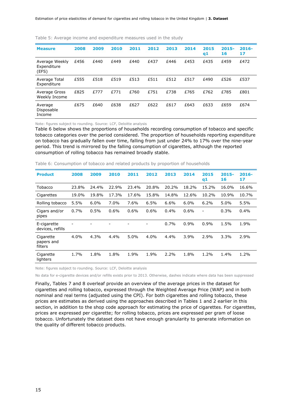| <b>Measure</b>                         | 2008 | 2009 | 2010 | 2011 | 2012 | 2013 | 2014 | 2015<br>q1 | $2015 -$<br>16 | $2016-$<br>17 |
|----------------------------------------|------|------|------|------|------|------|------|------------|----------------|---------------|
| Average Weekly<br>Expenditure<br>(EFS) | £456 | £440 | £449 | £440 | £437 | £446 | £453 | £435       | £459           | £472          |
| Average Total<br>Expenditure           | £555 | £518 | £519 | £513 | £511 | £512 | £517 | £490       | £526           | £537          |
| Average Gross<br>Weekly Income         | £825 | £777 | £771 | £760 | £751 | £738 | £765 | £762       | £785           | £801          |
| Average<br>Disposable<br>Income        | £675 | £640 | £638 | £627 | £622 | £617 | £643 | £633       | £659           | £674          |

Table 5: Average income and expenditure measures used in the study

Note: figures subject to rounding. Source: LCF, Deloitte analysis

Table 6 below shows the proportions of households recording consumption of tobacco and specific tobacco categories over the period considered. The proportion of households reporting expenditure on tobacco has gradually fallen over time, falling from just under 24% to 17% over the nine-year period. This trend is mirrored by the falling consumption of cigarettes, although the reported consumption of rolling tobacco has remained broadly stable.

| <b>Product</b>                     | 2008           | 2009  | 2010  | 2011  | 2012  | 2013  | 2014  | 2015<br>q1               | $2015 -$<br>16 | $2016 -$<br>17 |
|------------------------------------|----------------|-------|-------|-------|-------|-------|-------|--------------------------|----------------|----------------|
| Tobacco                            | 23.8%          | 24.4% | 22.9% | 23.4% | 20.8% | 20.2% | 18.2% | 15.2%                    | 16.0%          | 16.6%          |
| Cigarettes                         | 19.0%          | 19.8% | 17.3% | 17.6% | 15.8% | 14.8% | 12.6% | 10.2%                    | 10.9%          | 10.7%          |
| Rolling tobacco                    | 5.5%           | 6.0%  | 7.0%  | 7.6%  | 6.5%  | 6.6%  | 6.0%  | 6.2%                     | 5.0%           | 5.5%           |
| Cigars and/or<br>pipes             | 0.7%           | 0.5%  | 0.6%  | 0.6%  | 0.6%  | 0.4%  | 0.6%  | $\overline{\phantom{0}}$ | 0.3%           | 0.4%           |
| E-cigarette<br>devices, refills    | $\overline{a}$ |       |       | ۰     | -     | 0.7%  | 0.9%  | 0.9%                     | 1.5%           | 1.9%           |
| Cigarette<br>papers and<br>filters | 4.0%           | 4.3%  | 4.4%  | 5.0%  | 4.0%  | 4.4%  | 3.9%  | 2.9%                     | 3.3%           | 2.9%           |
| Cigarette<br>lighters              | 1.7%           | 1.8%  | 1.8%  | 1.9%  | 1.9%  | 2.2%  | 1.8%  | 1.2%                     | 1.4%           | 1.2%           |

Table 6: Consumption of tobacco and related products by proportion of households

Note: figures subject to rounding. Source: LCF, Deloitte analysis

No data for e-cigarette devices and/or refills exists prior to 2013. Otherwise, dashes indicate where data has been suppressed

Finally, Tables 7 and 8 overleaf provide an overview of the average prices in the dataset for cigarettes and rolling tobacco, expressed through the Weighted Average Price (WAP) and in both nominal and real terms (adjusted using the CPI). For both cigarettes and rolling tobacco, these prices are estimates as derived using the approaches described in Tables 1 and 2 earlier in this section, in addition to the shop code approach for estimating the price of cigarettes. For cigarettes, prices are expressed per cigarette; for rolling tobacco, prices are expressed per gram of loose tobacco. Unfortunately the dataset does not have enough granularity to generate information on the quality of different tobacco products.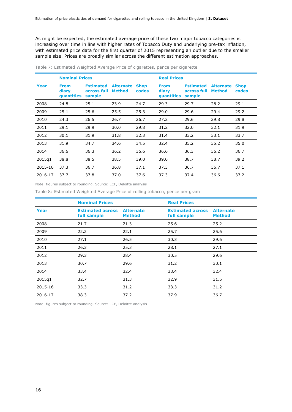As might be expected, the estimated average price of these two major tobacco categories is increasing over time in line with higher rates of Tobacco Duty and underlying pre-tax inflation, with estimated price data for the first quarter of 2015 representing an outlier due to the smaller sample size. Prices are broadly similar across the different estimation approaches.

|         | <b>Nominal Prices</b>              |                                           |                                   |                      | <b>Real Prices</b>                 |                                           |                                   |                      |  |
|---------|------------------------------------|-------------------------------------------|-----------------------------------|----------------------|------------------------------------|-------------------------------------------|-----------------------------------|----------------------|--|
| Year    | <b>From</b><br>diary<br>quantities | <b>Estimated</b><br>across full<br>sample | <b>Alternate</b><br><b>Method</b> | <b>Shop</b><br>codes | <b>From</b><br>diary<br>quantities | <b>Estimated</b><br>across full<br>sample | <b>Alternate</b><br><b>Method</b> | <b>Shop</b><br>codes |  |
| 2008    | 24.8                               | 25.1                                      | 23.9                              | 24.7                 | 29.3                               | 29.7                                      | 28.2                              | 29.1                 |  |
| 2009    | 25.1                               | 25.6                                      | 25.5                              | 25.3                 | 29.0                               | 29.6                                      | 29.4                              | 29.2                 |  |
| 2010    | 24.3                               | 26.5                                      | 26.7                              | 26.7                 | 27.2                               | 29.6                                      | 29.8                              | 29.8                 |  |
| 2011    | 29.1                               | 29.9                                      | 30.0                              | 29.8                 | 31.2                               | 32.0                                      | 32.1                              | 31.9                 |  |
| 2012    | 30.1                               | 31.9                                      | 31.8                              | 32.3                 | 31.4                               | 33.2                                      | 33.1                              | 33.7                 |  |
| 2013    | 31.9                               | 34.7                                      | 34.6                              | 34.5                 | 32.4                               | 35.2                                      | 35.2                              | 35.0                 |  |
| 2014    | 36.6                               | 36.3                                      | 36.2                              | 36.6                 | 36.6                               | 36.3                                      | 36.2                              | 36.7                 |  |
| 2015q1  | 38.8                               | 38.5                                      | 38.5                              | 39.0                 | 39.0                               | 38.7                                      | 38.7                              | 39.2                 |  |
| 2015-16 | 37.3                               | 36.7                                      | 36.8                              | 37.1                 | 37.3                               | 36.7                                      | 36.7                              | 37.1                 |  |
| 2016-17 | 37.7                               | 37.8                                      | 37.0                              | 37.6                 | 37.3                               | 37.4                                      | 36.6                              | 37.2                 |  |

Table 7: Estimated Weighted Average Price of cigarettes, pence per cigarette

Note: figures subject to rounding. Source: LCF, Deloitte analysis

Table 8: Estimated Weighted Average Price of rolling tobacco, pence per gram

|         | <b>Nominal Prices</b>                  |                                   | <b>Real Prices</b>                     |                                   |
|---------|----------------------------------------|-----------------------------------|----------------------------------------|-----------------------------------|
| Year    | <b>Estimated across</b><br>full sample | <b>Alternate</b><br><b>Method</b> | <b>Estimated across</b><br>full sample | <b>Alternate</b><br><b>Method</b> |
| 2008    | 21.7                                   | 21.3                              | 25.6                                   | 25.2                              |
| 2009    | 22.2                                   | 22.1                              | 25.7                                   | 25.6                              |
| 2010    | 27.1                                   | 26.5                              | 30.3                                   | 29.6                              |
| 2011    | 26.3                                   | 25.3                              | 28.1                                   | 27.1                              |
| 2012    | 29.3                                   | 28.4                              | 30.5                                   | 29.6                              |
| 2013    | 30.7                                   | 29.6                              | 31.2                                   | 30.1                              |
| 2014    | 33.4                                   | 32.4                              | 33.4                                   | 32.4                              |
| 2015q1  | 32.7                                   | 31.3                              | 32.9                                   | 31.5                              |
| 2015-16 | 33.3                                   | 31.2                              | 33.3                                   | 31.2                              |
| 2016-17 | 38.3                                   | 37.2                              | 37.9                                   | 36.7                              |

Note: figures subject to rounding. Source: LCF, Deloitte analysis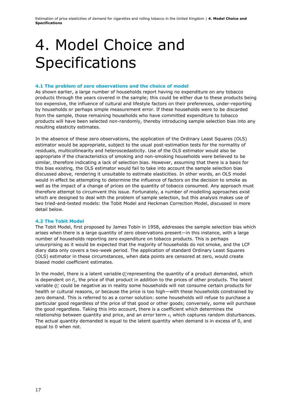## 4. Model Choice and **Specifications**

### **4.1 The problem of zero observations and the choice of model**

As shown earlier, a large number of households report having no expenditure on any tobacco products through the years covered in the sample; this could be either due to these products being too expensive, the influence of cultural and lifestyle factors on their preferences, under-reporting by households or perhaps simple measurement error. If these households were to be discarded from the sample, those remaining households who have committed expenditure to tobacco products will have been selected non-randomly, thereby introducing sample selection bias into any resulting elasticity estimates.

In the absence of these zero observations, the application of the Ordinary Least Squares (OLS) estimator would be appropriate, subject to the usual post-estimation tests for the normality of residuals, multicollinearity and heteroscedasticity. Use of the OLS estimator would also be appropriate if the characteristics of smoking and non-smoking households were believed to be similar, therefore indicating a lack of selection bias. However, assuming that there is a basis for this bias existing, the OLS estimator would fail to take into account the sample selection bias discussed above, rendering it unsuitable to estimate elasticities. In other words, an OLS model would in effect be attempting to determine the influence of factors on the decision to smoke as well as the impact of a change of prices on the quantity of tobacco consumed. Any approach must therefore attempt to circumvent this issue. Fortunately, a number of modelling approaches exist which are designed to deal with the problem of sample selection, but this analysis makes use of two tried-and-tested models: the Tobit Model and Heckman Correction Model, discussed in more detail below.

### **4.2 The Tobit Model**

The Tobit Model, first proposed by James Tobin in 1958, addresses the sample selection bias which arises when there is a large quantity of zero observations present—in this instance, with a large number of households reporting zero expenditure on tobacco products. This is perhaps unsurprising as it would be expected that the majority of households do not smoke, and the LCF diary data only covers a two-week period. The application of standard Ordinary Least Squares (OLS) estimator in these circumstances, when data points are censored at zero, would create biased model coefficient estimates.

In the model, there is a latent variable  $Q_i^*$ representing the quantity of a product demanded, which is dependent on  $P_i$ , the price of that product in addition to the prices of other products. The latent variable  $Q_i^*$  could be negative as in reality some households will not consume certain products for health or cultural reasons, or because the price is too high—with these households constrained by zero demand. This is referred to as a corner solution: some households will refuse to purchase a particular good regardless of the price of that good or other goods; conversely, some will purchase the good regardless. Taking this into account, there is a coefficient which determines the relationship between quantity and price, and an error term  $\varepsilon_i$  which captures random disturbances. The actual quantity demanded is equal to the latent quantity when demand is in excess of 0, and equal to 0 when not.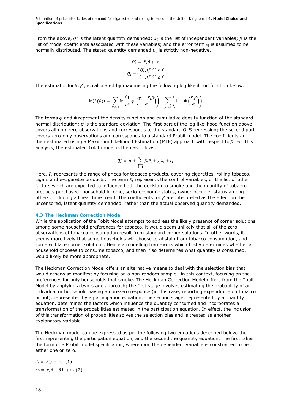Estimation of price elasticities of demand for cigarettes and rolling tobacco in the United Kingdom | **4. Model Choice and Specifications**

From the above,  $Q_i^*$  is the latent quantity demanded;  $X_i$  is the list of independent variables;  $\beta$  is the list of model coefficients associated with these variables; and the error term  $\varepsilon_i$  is assumed to be normally distributed. The stated quantity demanded  $Q_i$  is strictly non-negative.

$$
Q_i^* = X_i \beta + \varepsilon_i
$$
  

$$
Q_i = \begin{cases} Q_i^*, if \ Q_i^* < 0 \\ 0, if \ Q_i^* \ge 0 \end{cases}
$$

The estimator for  $\beta$ ,  $\beta'$ , is calculated by maximising the following log likelihood function below.

$$
\ln(L(\beta)) = \sum_{y_i>0} \ln\left(\frac{1}{\sigma} \phi\left(\frac{y_i - X_i\beta}{\sigma}\right)\right) + \sum_{y_i=0} \left(1 - \Phi\left(\frac{X_i\beta}{\sigma}\right)\right)
$$

The terms  $\phi$  and  $\Phi$  represent the density function and cumulative density function of the standard normal distribution; σ is the standard deviation. The first part of the log likelihood function above covers all non-zero observations and corresponds to the standard OLS regression; the second part covers zero-only observations and corresponds to a standard Probit model. The coefficients are then estimated using a Maximum Likelihood Estimation (MLE) approach with respect to  $\beta$ . For this analysis, the estimated Tobit model is then as follows:

$$
Q_i^* = \alpha + \sum_{i=1}^4 \beta_i P_i + \gamma_j X_j + \varepsilon_i
$$

Here,  $P_i$  represents the range of prices for tobacco products, covering cigarettes, rolling tobacco, cigars and e-cigarette products. The term  $X_i$  represents the control variables, or the list of other factors which are expected to influence both the decision to smoke and the quantity of tobacco products purchased: household income, socio-economic status, owner-occupier status among others, including a linear time trend. The coefficients for  $\beta$  are interpreted as the effect on the uncensored, latent quantity demanded, rather than the actual observed quantity demanded.

#### **4.3 The Heckman Correction Model**

While the application of the Tobit Model attempts to address the likely presence of corner solutions among some household preferences for tobacco, it would seem unlikely that all of the zero observations of tobacco consumption result from standard corner solutions. In other words, it seems more likely that some households will choose to abstain from tobacco consumption, and some will face corner solutions. Hence a modelling framework which firstly determines whether a household chooses to consume tobacco, and then if so determines what quantity is consumed, would likely be more appropriate.

The Heckman Correction Model offers an alternative means to deal with the selection bias that would otherwise manifest by focusing on a non-random sample—in this context, focusing on the preferences for only households that smoke. The Heckman Correction Model differs from the Tobit Model by applying a two-stage approach; the first stage involves estimating the probability of an individual or household having a non-zero response (in this case, reporting expenditure on tobacco or not), represented by a participation equation. The second stage, represented by a quantity equation, determines the factors which influence the quantity consumed and incorporates a transformation of the probabilities estimated in the participation equation. In effect, the inclusion of this transformation of probabilities solves the selection bias and is treated as another explanatory variable.

The Heckman model can be expressed as per the following two equations described below, the first representing the participation equation, and the second the quantity equation. The first takes the form of a Probit model specification, whereupon the dependent variable is constrained to be either one or zero.

$$
d_i = Z'_i \gamma + \varepsilon_i \quad (1)
$$
  

$$
y_i = x'_i \beta + \delta \lambda_i + u_i \quad (2)
$$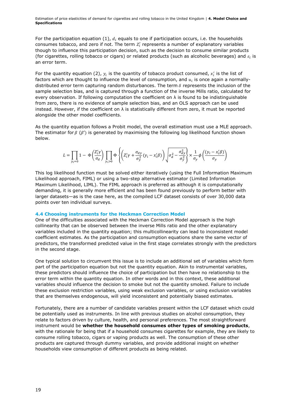Estimation of price elasticities of demand for cigarettes and rolling tobacco in the United Kingdom | **4. Model Choice and Specifications**

For the participation equation (1),  $d_i$  equals to one if participation occurs, i.e. the households consumes tobacco, and zero if not. The term  $Z'_i$  represents a number of explanatory variables though to influence this participation decision, such as the decision to consume similar products (for cigarettes, rolling tobacco or cigars) or related products (such as alcoholic beverages) and  $\varepsilon_i$  is an error term.

For the quantity equation (2),  $y_i$  is the quantity of tobacco product consumed,  $x'_i$  is the list of factors which are thought to influence the level of consumption, and  $u_i$  is once again a normallydistributed error term capturing random disturbances. The term  $\delta$  represents the inclusion of the sample selection bias, and is captured through a function of the inverse Mills ratio, calculated for every observation. If following computation the coefficient on  $\lambda$  is found to be indistinguishable from zero, there is no evidence of sample selection bias, and an OLS approach can be used instead. However, if the coefficient on  $\lambda$  is statistically different from zero, it must be reported alongside the other model coefficients.

As the quantity equation follows a Probit model, the overall estimation must use a MLE approach. The estimator for  $\beta$  ( $\beta'$ ) is generated by maximising the following log likelihood function shown below.

$$
L = \prod_{y_i=0} 1 - \Phi\left(\frac{Z_i' \gamma}{\sigma_d}\right) \prod_{y_i>0} \Phi\left\{ \left( Z_i' \gamma + \frac{\sigma_{dy}}{\sigma_y^2} (y_i - x_i' \beta) \right) \sqrt{\sigma_d^2 - \frac{\sigma_{dy}^2}{\sigma_y^2}} \right\} \times \frac{1}{\sigma_y} \phi\left(\frac{(y_i - x_i' \beta)}{\sigma_y}\right)
$$

This log likelihood function must be solved either iteratively (using the Full Information Maximum Likelihood approach, FIML) or using a two-step alternative estimator (Limited Information Maximum Likelihood, LIML). The FIML approach is preferred as although it is computationally demanding, it is generally more efficient and has been found previously to perform better with larger datasets—as is the case here, as the compiled LCF dataset consists of over 30,000 data points over ten individual surveys.

### **4.4 Choosing instruments for the Heckman Correction Model**

One of the difficulties associated with the Heckman Correction Model approach is the high collinearity that can be observed between the inverse Mills ratio and the other explanatory variables included in the quantity equation; this multicollinearity can lead to inconsistent model coefficient estimates. As the participation and consumption equations share the same vector of predictors, the transformed predicted value in the first stage correlates strongly with the predictors in the second stage.

One typical solution to circumvent this issue is to include an additional set of variables which form part of the participation equation but not the quantity equation. Akin to instrumental variables, these predictors should influence the choice of participation but then have no relationship to the error term within the quantity equation. In other words and in this context, these additional variables should influence the decision to smoke but not the quantity smoked. Failure to include these exclusion restriction variables, using weak exclusion variables, or using exclusion variables that are themselves endogenous, will yield inconsistent and potentially biased estimates.

Fortunately, there are a number of candidate variables present within the LCF dataset which could be potentially used as instruments. In line with previous studies on alcohol consumption, they relate to factors driven by culture, health, and personal preferences. The most straightforward instrument would be **whether the household consumes other types of smoking products**, with the rationale for being that if a household consumes cigarettes for example, they are likely to consume rolling tobacco, cigars or vaping products as well. The consumption of these other products are captured through dummy variables, and provide additional insight on whether households view consumption of different products as being related.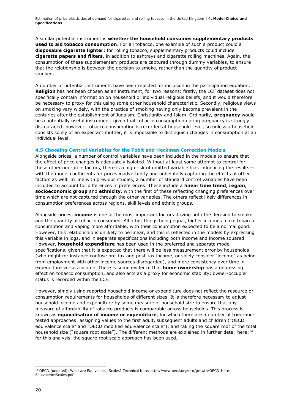A similar potential instrument is **whether the household consumes supplementary products used to aid tobacco consumption**. For all tobacco, one example of such a product could a **disposable cigarette lighter**; for rolling tobacco, supplementary products could include **cigarette papers and filters**, in addition to ashtrays and cigarette rolling machines. Again, the consumption of these supplementary products are captured through dummy variables, to ensure that the relationship is between the decision to smoke, rather than the quantity of product smoked.

A number of potential instruments have been rejected for inclusion in the participation equation. **Religion** has not been chosen as an instrument, for two reasons: firstly, the LCF dataset does not specifically contain information on household or individual religious beliefs, and it would therefore be necessary to proxy for this using some other household characteristic. Secondly, religious views on smoking vary widely, with the practice of smoking having only become prevalent in the centuries after the establishment of Judaism, Christianity and Islam. Ordinarily, **pregnancy** would be a potentially useful instrument, given that tobacco consumption during pregnancy is strongly discouraged; however, tobacco consumption is recorded at household level, so unless a household consists solely of an expectant mother, it is impossible to distinguish changes in consumption at an individual level.

### **4.5 Choosing Control Variables for the Tobit and Heckman Correction Models**

Alongside prices, a number of control variables have been included in the models to ensure that the effect of price changes is adequately isolated. Without at least some attempt to control for these other non-price factors, there is a high risk of omitted variable bias influencing the results with the model coefficients for prices inadvertently and unhelpfully capturing the effects of other factors as well. In line with previous studies, a number of standard control variables have been included to account for differences in preferences. These include a **linear time trend**, **region**, **socioeconomic group** and **ethnicity**, with the first of these reflecting changing preferences over time which are not captured through the other variables. The others reflect likely differences in consumption preferences across regions, skill levels and ethnic groups.

Alongside prices, **income** is one of the most important factors driving both the decision to smoke and the quantity of tobacco consumed. All other things being equal, higher incomes make tobacco consumption and vaping more affordable, with their consumption expected to be a normal good. However, this relationship is unlikely to be linear, and this is reflected in the models by expressing this variable in logs, and in separate specifications including both income and income squared. However, **household expenditure** has been used in the preferred and separate model specifications, given that it is expected that there will be less measurement error by households (who might for instance confuse pre-tax and post-tax income, or solely consider "income" as being from employment with other income sources disregarded), and more consistency over time in expenditure versus income. There is some evidence that **home ownership** has a depressing effect on tobacco consumption, and also acts as a proxy for economic stability; owner-occupier status is recorded within the LCF.

However, simply using reported household income or expenditure does not reflect the resource or consumption requirements for households of different sizes. It is therefore necessary to adjust household income and expenditure by some measure of household size to ensure that any measure of affordability of tobacco products is comparable across households. This process is known as **equivalisation of income or expenditure**, for which there are a number of tried-andtested approaches: assigning values to the first adult, subsequent adults and children ("OECD equivalence scale" and "OECD modified equivalence scale"); and taking the square root of the total household size ("square root scale"). The different methods are explained in further detail here;<sup>14</sup> for this analysis, the square root scale approach has been used.

<sup>-</sup><sup>14</sup> OECD (undated). What are Equivalence Scales? Technical Note. http://www.oecd.org/eco/growth/OECD-Note-EquivalenceScales.pdf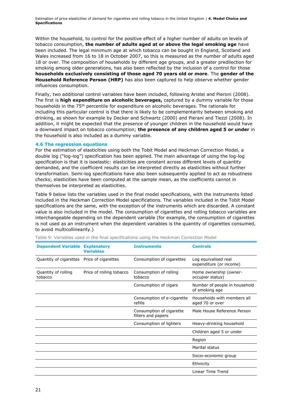Within the household, to control for the positive effect of a higher number of adults on levels of tobacco consumption, **the number of adults aged at or above the legal smoking age** have been included. The legal minimum age at which tobacco can be bought in England, Scotland and Wales increased from 16 to 18 in October 2007, so this is measured as the number of adults aged 18 or over. The composition of households by different age groups, and a greater predilection for smoking among older generations, has also been reflected by the inclusion of a control for those **households exclusively consisting of those aged 70 years old or more**. The **gender of the Household Reference Person (HRP)** has also been captured to help observe whether gender influences consumption.

Finally, two additional control variables have been included, following Aristei and Pieroni (2008). The first is **high expenditure on alcoholic beverages,** captured by a dummy variable for those households in the 75<sup>th</sup> percentile for expenditure on alcoholic beverages. The rationale for including this particular control is that there is likely to be complementarity between smoking and drinking, as shown for example by Decker and Schwartz (2000) and Pierani and Tiezzi (2008). In addition, it might be expected that the presence of younger children in the household would have a downward impact on tobacco consumption; **the presence of any children aged 5 or under** in the household is also included as a dummy variable.

### **4.6 The regression equations**

For the estimation of elasticities using both the Tobit Model and Heckman Correction Model, a double log ("log-log") specification has been applied. The main advantage of using the log-log specification is that it is isoelastic: elasticities are constant across different levels of quantity demanded, and the coefficient results can be interpreted directly as elasticities without further transformation. Semi-log specifications have also been subsequently applied to act as robustness checks; elasticities have been computed at the sample mean, as the coefficients cannot in themselves be interpreted as elasticities.

Table 9 below lists the variables used in the final model specifications, with the instruments listed included in the Heckman Correction Model specifications. The variables included in the Tobit Model specifications are the same, with the exception of the instruments which are discarded. A constant value is also included in the model. The consumption of cigarettes and rolling tobacco variables are interchangeable depending on the dependent variable (for example, the consumption of cigarettes is not used as an instrument when the dependent variables is the quantity of cigarettes consumed, to avoid multicollinearity.)

| <b>Dependent Variable Explanatory</b>      | <b>Variables</b>         | <b>Instruments</b>                             | <b>Controls</b>                                 |
|--------------------------------------------|--------------------------|------------------------------------------------|-------------------------------------------------|
| Quantity of cigarettes Price of cigarettes |                          | Consumption of cigarettes                      | Log equivalised real<br>expenditure (or income) |
| Quantity of rolling<br>tobacco             | Price of rolling tobacco | Consumption of rolling<br>tobacco              | Home ownership (owner-<br>occupier status)      |
|                                            |                          | Consumption of cigars                          | Number of people in household<br>of smoking age |
|                                            |                          | Consumption of e-cigarette<br>refills          | Households with members all<br>aged 70 or over  |
|                                            |                          | Consumption of cigarette<br>filters and papers | Male House Reference Person                     |
|                                            |                          | Consumption of lighters                        | Heavy-drinking household                        |
|                                            |                          |                                                | Children aged 5 or under                        |
|                                            |                          |                                                | Region                                          |
|                                            |                          |                                                | Marital status                                  |
|                                            |                          |                                                | Socio-economic group                            |
|                                            |                          |                                                | Ethnicity                                       |
|                                            |                          |                                                | Linear Time Trend                               |

Table 9: Variables used in the final specifications using the Heckman Correction Model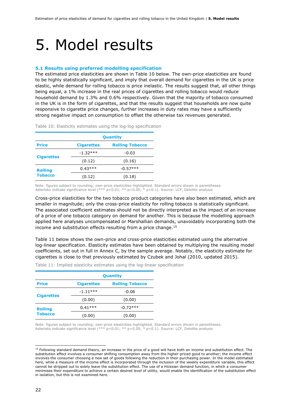### 5. Model results

### **5.1 Results using preferred modelling specification**

The estimated price elasticities are shown in Table 10 below. The own-price elasticities are found to be highly statistically significant, and imply that overall demand for cigarettes in the UK is price elastic, while demand for rolling tobacco is price inelastic. The results suggest that, all other things being equal, a 1% increase in the real prices of cigarettes and rolling tobacco would reduce household demand by 1.3% and 0.6% respectively. Given that the majority of tobacco consumed in the UK is in the form of cigarettes, and that the results suggest that households are now quite responsive to cigarette price changes, further increases in duty rates may have a sufficiently strong negative impact on consumption to offset the otherwise tax revenues generated.

|                   | <b>Quantity</b>   |                        |  |  |  |  |
|-------------------|-------------------|------------------------|--|--|--|--|
| <b>Price</b>      | <b>Cigarettes</b> | <b>Rolling Tobacco</b> |  |  |  |  |
|                   | $-1.32***$        | $-0.03$                |  |  |  |  |
| <b>Cigarettes</b> | (0.12)            | (0.16)                 |  |  |  |  |
| <b>Rolling</b>    | $0.43***$         | $-0.57***$             |  |  |  |  |
| <b>Tobacco</b>    | (0.12)            | (0.18)                 |  |  |  |  |

Table 10: Elasticity estimates using the log-log specification

Note: figures subject to rounding; own-price elasticities highlighted. Standard errors shown in parentheses. Asterisks indicate significance level (\*\*\* p<0.01; \*\* p<0.05; \* p<0.1). Source: LCF, Deloitte analysis

Cross-price elasticities for the two tobacco product categories have also been estimated, which are smaller in magnitude; only the cross-price elasticity for rolling tobacco is statistically significant. The associated coefficient estimates should not be directly interpreted as the impact of an increase of a price of one tobacco category on demand for another. This is because the modelling approach applied here analyses uncompensated or Marshallian demands, unavoidably incorporating both the income and substitution effects resulting from a price change.<sup>15</sup>

Table 11 below shows the own-price and cross-price elasticities estimated using the alternative log-linear specification. Elasticity estimates have been obtained by multiplying the resulting model coefficients, set out in full in Annex C, by the sample average. Notably, the elasticity estimate for cigarettes is close to that previously estimated by Czubek and Johal (2010, updated 2015).

|                   | <b>Quantity</b>   |                        |  |  |  |  |
|-------------------|-------------------|------------------------|--|--|--|--|
| <b>Price</b>      | <b>Cigarettes</b> | <b>Rolling Tobacco</b> |  |  |  |  |
|                   | $-1.11***$        | $-0.06$                |  |  |  |  |
| <b>Cigarettes</b> | (0.00)            | (0.00)                 |  |  |  |  |
| <b>Rolling</b>    | $0.41***$         | $-0.72***$             |  |  |  |  |
| <b>Tobacco</b>    | (0.00)            | (0.00)                 |  |  |  |  |

Table 11: Implied elasticity estimates using the log-linear specification

Note: figures subject to rounding; own-price elasticities highlighted. Standard errors shown in parentheses. Asterisks indicate significance level (\*\*\* p<0.01; \*\* p<0.05; \* p<0.1). Source: LCF, Deloitte analysis

<sup>&</sup>lt;sup>15</sup> Following standard demand theory, an increase in the price of a good will have both an income and substitution effect. The substitution effect involves a consumer shifting consumption away from the higher-priced good to another; the income effect involves the consumer choosing a new set of goods following the reduction in their purchasing power. In the model estimated here, while a measure of the income effect is incorporated through the inclusion of the weekly expenditure variable, this effect cannot be stripped out to solely leave the substitution effect. The use of a Hicksian demand function, in which a consumer minimises their expenditure to achieve a certain desired level of utility, would enable the identification of the substitution effect in isolation, but this is not examined here.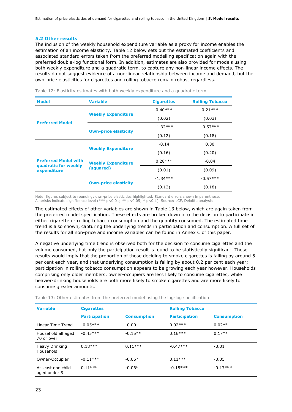#### **5.2 Other results**

The inclusion of the weekly household expenditure variable as a proxy for income enables the estimation of an income elasticity. Table 12 below sets out the estimated coefficients and associated standard errors taken from the preferred modelling specification again with the preferred double-log functional form. In addition, estimates are also provided for models using both weekly expenditure and a quadratic term, to capture any non-linear income effects. The results do not suggest evidence of a non-linear relationship between income and demand, but the own-price elasticities for cigarettes and rolling tobacco remain robust regardless.

| <b>Model</b>                        | <b>Variable</b>             | <b>Cigarettes</b> | <b>Rolling Tobacco</b> |
|-------------------------------------|-----------------------------|-------------------|------------------------|
|                                     |                             | $0.40***$         | $0.21***$              |
|                                     | <b>Weekly Expenditure</b>   | (0.02)            | (0.03)                 |
| <b>Preferred Model</b>              |                             | $-1.32***$        | $-0.57***$             |
|                                     | <b>Own-price elasticity</b> | (0.12)            | (0.18)                 |
|                                     |                             | $-0.14$           | 0.30                   |
|                                     | <b>Weekly Expenditure</b>   | (0.16)            | (0.20)                 |
| <b>Preferred Model with</b>         | <b>Weekly Expenditure</b>   | $0.28***$         | $-0.04$                |
| quadratic for weekly<br>expenditure | (squared)                   | (0.01)            | (0.09)                 |
|                                     | <b>Own-price elasticity</b> | $-1.34***$        | $-0.57***$             |
|                                     |                             | (0.12)            | (0.18)                 |

Table 12: Elasticity estimates with both weekly expenditure and a quadratic term

Note: figures subject to rounding; own-price elasticities highlighted. Standard errors shown in parentheses. Asterisks indicate significance level (\*\*\* p<0.01; \*\* p<0.05; \* p<0.1). Source: LCF, Deloitte analysis

The estimated effects of other variables are shown in Table 13 below, which are again taken from the preferred model specification. These effects are broken down into the decision to participate in either cigarette or rolling tobacco consumption and the quantity consumed. The estimated time trend is also shown, capturing the underlying trends in participation and consumption. A full set of the results for all non-price and income variables can be found in Annex C of this paper.

A negative underlying time trend is observed both for the decision to consume cigarettes and the volume consumed, but only the participation result is found to be statistically significant. These results would imply that the proportion of those deciding to smoke cigarettes is falling by around 5 per cent each year, and that underlying consumption is falling by about 0.2 per cent each year; participation in rolling tobacco consumption appears to be growing each year however. Households comprising only older members, owner-occupiers are less likely to consume cigarettes, while heavier-drinking households are both more likely to smoke cigarettes and are more likely to consume greater amounts.

| <b>Variable</b>                    | <b>Cigarettes</b>    |                    | <b>Rolling Tobacco</b> |                    |
|------------------------------------|----------------------|--------------------|------------------------|--------------------|
|                                    | <b>Participation</b> | <b>Consumption</b> | <b>Participation</b>   | <b>Consumption</b> |
| Linear Time Trend                  | $-0.05***$           | $-0.00$            | $0.02***$              | $0.02**$           |
| Household all aged<br>70 or over   | $-0.45***$           | $-0.15**$          | $0.16***$              | $0.17**$           |
| Heavy Drinking<br>Household        | $0.18***$            | $0.11***$          | $-0.47***$             | $-0.01$            |
| Owner-Occupier                     | $-0.11***$           | $-0.06*$           | $0.11***$              | $-0.05$            |
| At least one child<br>aged under 5 | $0.11***$            | $-0.06*$           | $-0.15***$             | $-0.17***$         |

Table 13: Other estimates from the preferred model using the log-log specification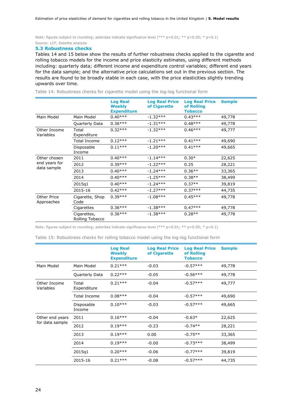Note: figures subject to rounding; asterisks indicate significance level  $(*** p < 0.01; ** p < 0.05; * p < 0.1)$ Source: LCF, Deloitte analysis

#### **5.3 Robustness checks**

Tables 14 and 15 below show the results of further robustness checks applied to the cigarette and rolling tobacco models for the income and price elasticity estimates, using different methods including: quarterly data; different income and expenditure control variables; different end years for the data sample; and the alternative price calculations set out in the previous section. The results are found to be broadly stable in each case, with the price elasticities slightly trending upwards over time.

|                                              |                                | <b>Log Real</b><br>Weekly<br><b>Expenditure</b> | <b>Log Real Price</b><br>of Cigarette | <b>Log Real Price</b><br>of Rolling<br><b>Tobacco</b> | <b>Sample</b> |
|----------------------------------------------|--------------------------------|-------------------------------------------------|---------------------------------------|-------------------------------------------------------|---------------|
| Main Model                                   | Main Model                     | $0.40***$                                       | $-1.32***$                            | $0.43***$                                             | 49,778        |
|                                              | Quarterly Data                 | $0.36***$                                       | $-1.31***$                            | $0.48***$                                             | 49,778        |
| Other Income<br>Variables                    | Total<br>Expenditure           | $0.32***$                                       | $-1.32***$                            | $0.46***$                                             | 49,777        |
|                                              | Total Income                   | $0.12***$                                       | $-1.21***$                            | $0.41***$                                             | 49,690        |
|                                              | Disposable<br>Income           | $0.11***$                                       | $-1.20***$                            | $0.41***$                                             | 49,665        |
| Other chosen<br>end years for<br>data sample | 2011                           | $0.40***$                                       | $-1.14***$                            | $0.30*$                                               | 22,625        |
|                                              | 2012                           | $0.39***$                                       | $-1.22***$                            | 0.25                                                  | 28,221        |
|                                              | 2013                           | $0.40***$                                       | $-1.24***$                            | $0.36**$                                              | 33,365        |
|                                              | 2014                           | $0.40***$                                       | $-1.25***$                            | $0.38**$                                              | 38,499        |
|                                              | 2015q1                         | $0.40***$                                       | $-1.24***$                            | $0.37**$                                              | 39,819        |
|                                              | 2015-16                        | $0.42***$                                       | $-1.27***$                            | $0.37***$                                             | 44,735        |
| Other Price<br>Approaches                    | Cigarette, Shop<br>Code        | $0.39***$                                       | $-1.08***$                            | $0.45***$                                             | 49,778        |
|                                              | Cigarettes                     | $0.36***$                                       | $-1.38***$                            | $0.47***$                                             | 49,778        |
|                                              | Cigarettes,<br>Rolling Tobacco | $0.36***$                                       | $-1.38***$                            | $0.28**$                                              | 49,778        |

Table 14: Robustness checks for cigarette model using the log-log functional form

Note: figures subject to rounding; asterisks indicate significance level (\*\*\* p<0.01; \*\* p<0.05; \* p<0.1)

Table 15: Robustness checks for rolling tobacco model using the log-log functional form

|                                    |                      | <b>Log Real</b><br><b>Weekly</b><br><b>Expenditure</b> | <b>Log Real Price</b><br>of Cigarette | <b>Log Real Price</b><br>of Rolling<br><b>Tobacco</b> | <b>Sample</b> |
|------------------------------------|----------------------|--------------------------------------------------------|---------------------------------------|-------------------------------------------------------|---------------|
| Main Model                         | Main Model           | $0.21***$                                              | $-0.03$                               | $-0.57***$                                            | 49,778        |
|                                    | Quarterly Data       | $0.22***$                                              | $-0.05$                               | $-0.56***$                                            | 49,778        |
| Other Income<br>Variables          | Total<br>Expenditure | $0.21***$                                              | $-0.04$                               | $-0.57***$                                            | 49,777        |
|                                    | <b>Total Income</b>  | $0.08***$                                              | $-0.04$                               | $-0.57***$                                            | 49,690        |
|                                    | Disposable<br>Income | $0.10***$                                              | $-0.03$                               | $-0.57***$                                            | 49,665        |
| Other end years<br>for data sample | 2011                 | $0.16***$                                              | $-0.04$                               | $-0.63*$                                              | 22,625        |
|                                    | 2012                 | $0.19***$                                              | $-0.23$                               | $-0.74**$                                             | 28,221        |
|                                    | 2013                 | $0.19***$                                              | 0.00                                  | $-0.75**$                                             | 33,365        |
|                                    | 2014                 | $0.19***$                                              | $-0.00$                               | $-0.73***$                                            | 38,499        |
|                                    | 2015q1               | $0.20***$                                              | $-0.06$                               | $-0.77***$                                            | 39,819        |
|                                    | 2015-16              | $0.21***$                                              | $-0.08$                               | $-0.57***$                                            | 44,735        |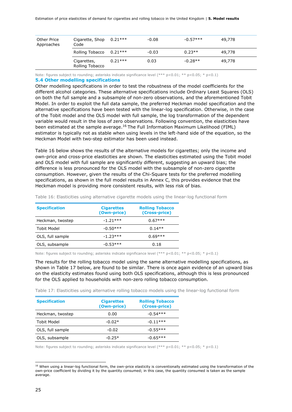| Other Price<br>Approaches | Cigarette, Shop $0.21***$<br>Code |           | $-0.08$ | $-0.57***$ | 49,778 |
|---------------------------|-----------------------------------|-----------|---------|------------|--------|
|                           | Rolling Tobacco 0.21***           |           | $-0.03$ | $0.23**$   | 49,778 |
|                           | Cigarettes,<br>Rolling Tobacco    | $0.21***$ | 0.03    | $-0.28**$  | 49,778 |

Note: figures subject to rounding; asterisks indicate significance level  $(** * p < 0.01; ** p < 0.05; * p < 0.1)$ 

### **5.4 Other modelling specifications**

Other modelling specifications in order to test the robustness of the model coefficients for the different alcohol categories. These alternative specifications include Ordinary Least Squares (OLS) on both the full sample and a subsample of non-zero observations, and the aforementioned Tobit Model. In order to exploit the full data sample, the preferred Heckman model specification and the alternative specifications have been tested with the linear-log specification. Otherwise, in the case of the Tobit model and the OLS model with full sample, the log transformation of the dependent variable would result in the loss of zero observations. Following convention, the elasticities have been estimated at the sample average.<sup>16</sup> The Full Information Maximum Likelihood (FIML) estimator is typically not as stable when using levels in the left-hand side of the equation, so the Heckman Model with two-step estimator has been used instead.

Table 16 below shows the results of the alternative models for cigarettes; only the income and own-price and cross-price elasticities are shown. The elasticities estimated using the Tobit model and OLS model with full sample are significantly different, suggesting an upward bias; the difference is less pronounced for the OLS model with the subsample of non-zero cigarette consumption. However, given the results of the Chi-Square tests for the preferred modelling specifications, as shown in the full model results in Annex C, this provides evidence that the Heckman model is providing more consistent results, with less risk of bias.

| <b>Specification</b> | <b>Cigarettes</b><br>(Own-price) | <b>Rolling Tobacco</b><br>(Cross-price) |
|----------------------|----------------------------------|-----------------------------------------|
| Heckman, twostep     | $-1.21***$                       | $0.67***$                               |
| Tobit Model          | $-0.50***$                       | $0.14**$                                |
| OLS, full sample     | $-1.23***$                       | $0.69***$                               |
| OLS, subsample       | $-0.53***$                       | 0.18                                    |

Table 16: Elasticities using alternative cigarette models using the linear-log functional form

Note: figures subject to rounding; asterisks indicate significance level (\*\*\* p<0.01; \*\* p<0.05; \* p<0.1)

The results for the rolling tobacco model using the same alternative modelling specifications, as shown in Table 17 below, are found to be similar. There is once again evidence of an upward bias on the elasticity estimates found using both OLS specifications, although this is less pronounced for the OLS applied to households with non-zero rolling tobacco consumption.

Table 17: Elasticities using alternative rolling tobacco models using the linear-log functional form

| <b>Specification</b> | <b>Cigarettes</b><br>(Own-price) | <b>Rolling Tobacco</b><br>(Cross-price) |
|----------------------|----------------------------------|-----------------------------------------|
|                      |                                  |                                         |
| Heckman, twostep     | 0.00                             | $-0.54***$                              |
| <b>Tobit Model</b>   | $-0.02*$                         | $-0.11***$                              |
| OLS, full sample     | $-0.02$                          | $-0.55***$                              |
| OLS, subsample       | $-0.25*$                         | $-0.65***$                              |

Note: figures subject to rounding; asterisks indicate significance level (\*\*\* p<0.01; \*\* p<0.05; \* p<0.1)

<sup>&</sup>lt;sup>16</sup> When using a linear-log functional form, the own-price elasticity is conventionally estimated using the transformation of the own-price coefficient by dividing it by the quantity consumed; in this case, the quantity consumed is taken as the sample average.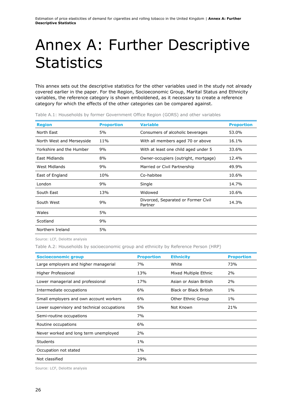### Annex A: Further Descriptive **Statistics**

This annex sets out the descriptive statistics for the other variables used in the study not already covered earlier in the paper. For the Region, Socioeconomic Group, Marital Status and Ethnicity variables, the reference category is shown emboldened, as it necessary to create a reference category for which the effects of the other categories can be compared against.

| <b>Region</b>             | <b>Proportion</b> | <b>Variable</b>                                | <b>Proportion</b> |
|---------------------------|-------------------|------------------------------------------------|-------------------|
| North East                | 5%                | Consumers of alcoholic beverages               | 53.0%             |
| North West and Merseyside | 11%               | With all members aged 70 or above              | 16.1%             |
| Yorkshire and the Humber  | 9%                | With at least one child aged under 5           | 33.6%             |
| East Midlands             | 8%                | Owner-occupiers (outright, mortgage)           | 12.4%             |
| West Midlands             | 9%                | Married or Civil Partnership                   | 49.9%             |
| East of England           | 10%               | Co-habitee                                     | 10.6%             |
| London                    | 9%                | Single                                         | 14.7%             |
| South East                | 13%               | Widowed                                        | 10.6%             |
| South West                | 9%                | Divorced, Separated or Former Civil<br>Partner | 14.3%             |
| Wales                     | 5%                |                                                |                   |
| Scotland                  | 9%                |                                                |                   |
| Northern Ireland          | 5%                |                                                |                   |

Table A.1: Households by former Government Office Region (GORS) and other variables

Source: LCF, Deloitte analysis

Table A.2: Households by socioeconomic group and ethnicity by Reference Person (HRP)

| <b>Socioeconomic group</b>                  | <b>Proportion</b> | <b>Ethnicity</b>       | <b>Proportion</b> |
|---------------------------------------------|-------------------|------------------------|-------------------|
| Large employers and higher managerial       | 7%                | White                  | 73%               |
| Higher Professional                         | 13%               | Mixed Multiple Ethnic  | 2%                |
| Lower managerial and professional           | 17%               | Asian or Asian British | 2%                |
| Intermediate occupations                    | 6%                | Black or Black British | $1\%$             |
| Small employers and own account workers     | 6%                | Other Ethnic Group     | $1\%$             |
| Lower supervisory and technical occupations | 5%                | Not Known              | 21%               |
| Semi-routine occupations                    | 7%                |                        |                   |
| Routine occupations                         | 6%                |                        |                   |
| Never worked and long term unemployed       | 2%                |                        |                   |
| <b>Students</b>                             | $1\%$             |                        |                   |
| Occupation not stated                       | $1\%$             |                        |                   |
| Not classified                              | 29%               |                        |                   |

Source: LCF, Deloitte analysis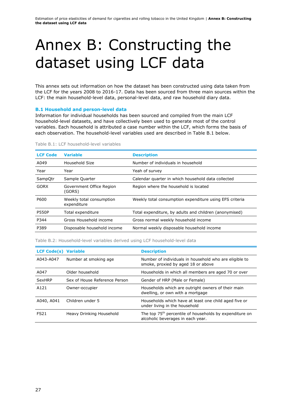## Annex B: Constructing the dataset using LCF data

This annex sets out information on how the dataset has been constructed using data taken from the LCF for the years 2008 to 2016-17. Data has been sourced from three main sources within the LCF: the main household-level data, personal-level data, and raw household diary data.

### **B.1 Household and person-level data**

Information for individual households has been sourced and compiled from the main LCF household-level datasets, and have collectively been used to generate most of the control variables. Each household is attributed a case number within the LCF, which forms the basis of each observation. The household-level variables used are described in Table B.1 below.

| <b>LCF Code</b> | <b>Variable</b>                         | <b>Description</b>                                      |
|-----------------|-----------------------------------------|---------------------------------------------------------|
| A049            | Household Size                          | Number of individuals in household                      |
| Year            | Year                                    | Yeah of survey                                          |
| SampQtr         | Sample Quarter                          | Calendar quarter in which household data collected      |
| <b>GORX</b>     | Government Office Region<br>(GORS)      | Region where the household is located                   |
| P600            | Weekly total consumption<br>expenditure | Weekly total consumption expenditure using EFS criteria |
| <b>P550P</b>    | Total expenditure                       | Total expenditure, by adults and children (anonymised)  |
| P344            | Gross Household income                  | Gross normal weekly household income                    |
| P389            | Disposable household income             | Normal weekly disposable household income               |

Table B.1: LCF household-level variables

Table B.2: Household-level variables derived using LCF household-level data

| <b>LCF Code(s) Variable</b> |                               | <b>Description</b>                                                                                       |
|-----------------------------|-------------------------------|----------------------------------------------------------------------------------------------------------|
| A043-A047                   | Number at smoking age         | Number of individuals in household who are eligible to<br>smoke, proxied by aged 18 or above             |
| A047                        | Older household               | Households in which all members are aged 70 or over                                                      |
| SexHRP                      | Sex of House Reference Person | Gender of HRP (Male or Female)                                                                           |
| A121                        | Owner-occupier                | Households which are outright owners of their main<br>dwelling, or own with a mortgage                   |
| A040, A041                  | Children under 5              | Households which have at least one child aged five or<br>under living in the household                   |
| <b>FS21</b>                 | Heavy Drinking Household      | The top 75 <sup>th</sup> percentile of households by expenditure on<br>alcoholic beverages in each year. |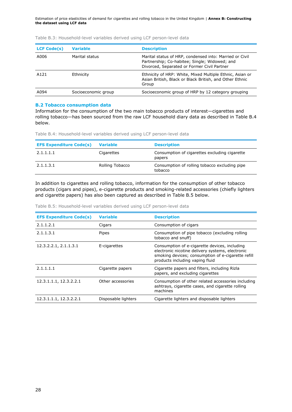Estimation of price elasticities of demand for cigarettes and rolling tobacco in the United Kingdom | **Annex B: Constructing the dataset using LCF data**

| <b>LCF Code(s)</b> | <b>Variable</b>     | <b>Description</b>                                                                                                                                      |
|--------------------|---------------------|---------------------------------------------------------------------------------------------------------------------------------------------------------|
| A006               | Marital status      | Marital status of HRP, condensed into: Married or Civil<br>Partnership; Co-habitee; Single; Widowed; and<br>Divorced, Separated or Former Civil Partner |
| A121               | Ethnicity           | Ethnicity of HRP: White, Mixed Multiple Ethnic, Asian or<br>Asian British, Black or Black British, and Other Ethnic<br>Group                            |
| A094               | Socioeconomic group | Socioeconomic group of HRP by 12 category grouping                                                                                                      |

Table B.3: Household-level variables derived using LCF person-level data

### **B.2 Tobacco consumption data**

Information for the consumption of the two main tobacco products of interest—cigarettes and rolling tobacco—has been sourced from the raw LCF household diary data as described in Table B.4 below.

Table B.4: Household-level variables derived using LCF person-level data

| <b>EFS Expenditure Code(s)</b> | <b>Variable</b> | <b>Description</b>                                       |
|--------------------------------|-----------------|----------------------------------------------------------|
| 2.1.1.1.1                      | Cigarettes      | Consumption of cigarettes excluding cigarette<br>papers  |
| 2.1.1.3.1                      | Rolling Tobacco | Consumption of rolling tobacco excluding pipe<br>tobacco |

In addition to cigarettes and rolling tobacco, information for the consumption of other tobacco products (cigars and pipes), e-cigarette products and smoking-related accessories (chiefly lighters and cigarette papers) has also been captured as described in Table B.5 below.

Table B.5: Household-level variables derived using LCF person-level data

| <b>EFS Expenditure Code(s)</b> | <b>Variable</b>     | <b>Description</b>                                                                                                                                                                         |
|--------------------------------|---------------------|--------------------------------------------------------------------------------------------------------------------------------------------------------------------------------------------|
| 2.1.1.2.1                      | Cigars              | Consumption of cigars                                                                                                                                                                      |
| 2.1.1.3.1                      | Pipes               | Consumption of pipe tobacco (excluding rolling<br>tobacco and snuff)                                                                                                                       |
| 12.3.2.2.1, 2.1.1.3.1          | E-cigarettes        | Consumption of e-cigarette devices, including<br>electronic nicotine delivery systems, electronic<br>smoking devices; consumption of e-cigarette refill<br>products including vaping fluid |
| 2.1.1.1.1                      | Cigarette papers    | Cigarette papers and filters, including Rizla<br>papers, and excluding cigarettes                                                                                                          |
| 12.3.1.1.1, 12.3.2.2.1         | Other accessories   | Consumption of other related accessories including<br>ashtrays, cigarette cases, and cigarette rolling<br>machines                                                                         |
| 12.3.1.1.1, 12.3.2.2.1         | Disposable lighters | Cigarette lighters and disposable lighters                                                                                                                                                 |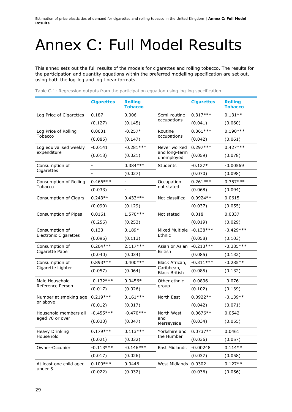## Annex C: Full Model Results

This annex sets out the full results of the models for cigarettes and rolling tobacco. The results for the participation and quantity equations within the preferred modelling specification are set out, using both the log-log and log-linear formats.

|                                                | <b>Cigarettes</b> | <b>Rolling</b><br><b>Tobacco</b> |                                    | <b>Cigarettes</b> | <b>Rolling</b><br><b>Tobacco</b> |
|------------------------------------------------|-------------------|----------------------------------|------------------------------------|-------------------|----------------------------------|
| Log Price of Cigarettes                        | 0.187             | 0.006                            | Semi-routine                       | $0.317***$        | $0.131**$                        |
|                                                | (0.127)           | (0.145)                          | occupations                        | (0.041)           | (0.060)                          |
| Log Price of Rolling                           | 0.0031            | $-0.257*$                        | Routine                            | $0.361***$        | $0.190***$                       |
| Tobacco                                        | (0.085)           | (0.147)                          | occupations                        | (0.042)           | (0.061)                          |
| Log equivalised weekly                         | $-0.0141$         | $-0.281***$                      | Never worked                       | $0.297***$        | $0.427***$                       |
| expenditure                                    | (0.013)           | (0.021)                          | and long-term<br>unemployed        | (0.059)           | (0.078)                          |
| Consumption of                                 |                   | $0.384***$                       | Students                           | $-0.127*$         | $-0.00569$                       |
| Cigarettes                                     |                   | (0.027)                          |                                    | (0.070)           | (0.098)                          |
| Consumption of Rolling                         | $0.466***$        | $\overline{a}$                   | Occupation                         | $0.261***$        | $0.357***$                       |
| Tobacco                                        | (0.033)           |                                  | not stated                         | (0.068)           | (0.094)                          |
| Consumption of Cigars                          | $0.243**$         | $0.433***$                       | Not classified                     | $0.0924**$        | 0.0615                           |
|                                                | (0.099)           | (0.129)                          |                                    | (0.037)           | (0.055)                          |
| Consumption of Pipes                           | 0.0161            | 1.570 ***                        | Not stated                         | 0.018             | 0.0337                           |
|                                                | (0.256)           | (0.253)                          |                                    | (0.019)           | (0.029)                          |
| Consumption of<br><b>Electronic Cigarettes</b> | 0.133             | $0.189*$                         | <b>Mixed Multiple</b><br>Ethnic    | $-0.138***$       | $-0.429***$                      |
|                                                | (0.096)           | (0.113)                          |                                    | (0.058)           | (0.103)                          |
| Consumption of                                 | $0.204***$        | $2.117***$                       | Asian or Asian<br><b>British</b>   | $-0.213***$       | $-0.385***$                      |
| Cigarette Paper                                | (0.040)           | (0.034)                          |                                    | (0.085)           | (0.132)                          |
| Consumption of                                 | $0.893***$        | $0.400***$                       | Black African,                     | $-0.311***$       | $-0.285**$                       |
| Cigarette Lighter                              | (0.057)           | (0.064)                          | Caribbean,<br><b>Black British</b> | (0.085)           | (0.132)                          |
| Male Household                                 | $-0.132***$       | $0.0456*$                        | Other ethnic                       | $-0.0836$         | $-0.0761$                        |
| Reference Person                               | (0.017)           | (0.026)                          | group                              | (0.102)           | (0.139)                          |
| Number at smoking age                          | $0.219***$        | $0.161***$                       | North East                         | $0.0922**$        | $-0.139**$                       |
| or above                                       | (0.012)           | (0.017)                          |                                    | (0.042)           | (0.071)                          |
| Household members all                          | $-0.455***$       | $-0.470***$                      | North West                         | $0.0676**$        | 0.0542                           |
| aged 70 or over                                | (0.030)           | (0.047)                          | and<br>Merseyside                  | (0.034)           | (0.055)                          |
| <b>Heavy Drinking</b>                          | $0.179***$        | $0.113***$                       | Yorkshire and                      | $0.0737**$        | 0.0461                           |
| Household                                      | (0.021)           | (0.032)                          | the Humber                         | (0.036)           | (0.057)                          |
| Owner-Occupier                                 | $-0.113***$       | $-0.146***$                      | East Midlands                      | $-0.00248$        | $0.114**$                        |
|                                                | (0.017)           | (0.026)                          |                                    | (0.037)           | (0.058)                          |
| At least one child aged                        | $0.109***$        | 0.0446                           | West Midlands 0.0302               |                   | $0.127**$                        |
| under 5                                        | (0.022)           | (0.032)                          |                                    | (0.036)           | (0.056)                          |

Table C.1: Regression outputs from the participation equation using log-log specification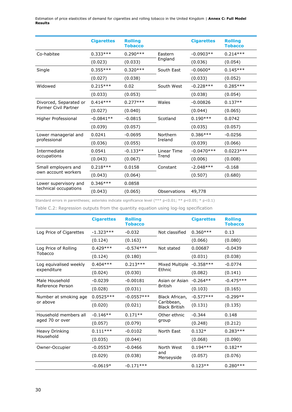|                                                       | <b>Cigarettes</b> | <b>Rolling</b><br><b>Tobacco</b> |              | <b>Cigarettes</b> | <b>Rolling</b><br><b>Tobacco</b> |
|-------------------------------------------------------|-------------------|----------------------------------|--------------|-------------------|----------------------------------|
| Co-habitee                                            | $0.333***$        | $0.290***$                       | Eastern      | $-0.0903**$       | $0.214***$                       |
|                                                       | (0.023)           | (0.033)                          | England      | (0.036)           | (0.054)                          |
| Single                                                | $0.355***$        | $0.320***$                       | South East   | $-0.0600*$        | $0.145***$                       |
|                                                       | (0.027)           | (0.038)                          |              | (0.033)           | (0.052)                          |
| Widowed                                               | $0.215***$        | 0.02                             | South West   | $-0.228***$       | $0.285***$                       |
|                                                       | (0.033)           | (0.053)                          |              | (0.038)           | (0.054)                          |
| Divorced, Separated or<br><b>Former Civil Partner</b> | $0.414***$        | $0.277***$                       | Wales        | $-0.00826$        | $0.137**$                        |
|                                                       | (0.027)           | (0.040)                          |              | (0.044)           | (0.065)                          |
| Higher Professional                                   | $-0.0841**$       | $-0.0815$                        | Scotland     | $0.190***$        | 0.0742                           |
|                                                       | (0.039)           | (0.057)                          |              | (0.035)           | (0.057)                          |
| Lower managerial and                                  | 0.0241            | $-0.0695$                        | Northern     | $0.386***$        | $-0.0256$                        |
| professional                                          | (0.036)           | (0.055)                          | Ireland      | (0.039)           | (0.066)                          |
| Intermediate                                          | 0.0541            | $-0.133**$                       | Linear Time  | $-0.0470***$      | $0.0223***$                      |
| occupations                                           | (0.043)           | (0.067)                          | Trend        | (0.006)           | (0.008)                          |
| Small employers and                                   | $0.218***$        | 0.0158                           | Constant     | $-2.048***$       | $-0.168$                         |
| own account workers                                   | (0.043)           | (0.064)                          |              | (0.507)           | (0.680)                          |
| Lower supervisory and                                 | $0.346***$        | 0.0858                           |              |                   |                                  |
| technical occupations                                 | (0.043)           | (0.065)                          | Observations | 49,778            |                                  |

Standard errors in parentheses; asterisks indicate significance level (\*\*\* p<0.01; \*\* p<0.05; \* p<0.1)

Table C.2: Regression outputs from the quantity equation using log-log specification

|                         | <b>Cigarettes</b> | <b>Rolling</b><br><b>Tobacco</b> |                                    | <b>Cigarettes</b> | <b>Rolling</b><br><b>Tobacco</b> |
|-------------------------|-------------------|----------------------------------|------------------------------------|-------------------|----------------------------------|
| Log Price of Cigarettes | $-1.323***$       | $-0.032$                         | Not classified                     | $0.360***$        | 0.13                             |
|                         | (0.124)           | (0.163)                          |                                    | (0.066)           | (0.080)                          |
| Log Price of Rolling    | $0.429***$        | $-0.574***$                      | Not stated                         | 0.00687           | $-0.0439$                        |
| Tobacco                 | (0.124)           | (0.180)                          |                                    | (0.031)           | (0.038)                          |
| Log equivalised weekly  | $0.404***$        | $0.213***$                       | Mixed Multiple                     | $-0.358***$       | $-0.0774$                        |
| expenditure             | (0.024)           | (0.030)                          | Ethnic                             | (0.082)           | (0.141)                          |
| Male Household          | $-0.0239$         | $-0.00181$                       | Asian or Asian                     | $-0.264**$        | $-0.475***$                      |
| Reference Person        | (0.028)           | (0.031)                          | <b>British</b>                     | (0.103)           | (0.165)                          |
| Number at smoking age   | $0.0525***$       | $-0.0557***$                     | Black African,                     | $-0.577***$       | $-0.299**$                       |
| or above                | (0.020)           | (0.021)                          | Caribbean,<br><b>Black British</b> | (0.131)           | (0.135)                          |
| Household members all   | $-0.146**$        | $0.171**$                        | Other ethnic                       | $-0.344$          | 0.148                            |
| aged 70 or over         | (0.057)           | (0.079)                          | group                              | (0.248)           | (0.212)                          |
| Heavy Drinking          | $0.111***$        | $-0.0102$                        | North East                         | $0.132*$          | $0.283***$                       |
| Household               | (0.035)           | (0.044)                          |                                    | (0.068)           | (0.090)                          |
| Owner-Occupier          | $-0.0553*$        | $-0.0466$                        | North West                         | $0.194***$        | $0.182**$                        |
|                         | (0.029)           | (0.038)                          | and<br>Merseyside                  | (0.057)           | (0.076)                          |
|                         | $-0.0619*$        | $-0.171***$                      |                                    | $0.123**$         | $0.280***$                       |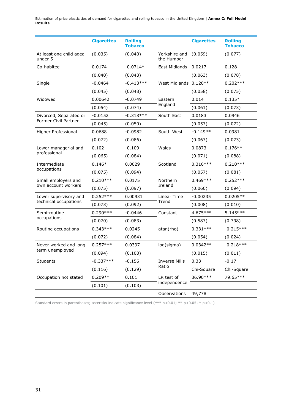|                                    | <b>Cigarettes</b> | <b>Rolling</b><br><b>Tobacco</b> |                             | <b>Cigarettes</b> | <b>Rolling</b><br><b>Tobacco</b> |
|------------------------------------|-------------------|----------------------------------|-----------------------------|-------------------|----------------------------------|
| At least one child aged<br>under 5 | (0.035)           | (0.040)                          | Yorkshire and<br>the Humber | (0.059)           | (0.077)                          |
| Co-habitee                         | 0.0174            | $-0.0714*$                       | East Midlands               | 0.0217            | 0.128                            |
|                                    | (0.040)           | (0.043)                          |                             | (0.063)           | (0.078)                          |
| Single                             | $-0.0464$         | $-0.413***$                      | West Midlands 0.120**       |                   | $0.202***$                       |
|                                    | (0.045)           | (0.048)                          |                             | (0.058)           | (0.075)                          |
| Widowed                            | 0.00642           | $-0.0749$                        | Eastern                     | 0.014             | $0.135*$                         |
|                                    | (0.054)           | (0.074)                          | England                     | (0.061)           | (0.073)                          |
| Divorced, Separated or             | $-0.0152$         | $-0.318***$                      | South East                  | 0.0183            | 0.0946                           |
| Former Civil Partner               | (0.045)           | (0.050)                          |                             | (0.057)           | (0.072)                          |
| Higher Professional                | 0.0688            | $-0.0982$                        | South West                  | $-0.149**$        | 0.0981                           |
|                                    | (0.072)           | (0.086)                          |                             | (0.067)           | (0.073)                          |
| Lower managerial and               | 0.102             | $-0.109$                         | Wales                       | 0.0873            | $0.176**$                        |
| professional                       | (0.065)           | (0.084)                          |                             | (0.071)           | (0.088)                          |
| Intermediate                       | $0.146*$          | 0.0029                           | Scotland                    | $0.316***$        | $0.210***$                       |
| occupations                        | (0.075)           | (0.094)                          |                             | (0.057)           | (0.081)                          |
| Small employers and                | $0.210***$        | 0.0175                           | Northern                    | $0.469***$        | $0.252***$                       |
| own account workers                | (0.075)           | (0.097)                          | Ireland                     | (0.060)           | (0.094)                          |
| Lower supervisory and              | $0.252***$        | 0.00931                          | Linear Time                 | $-0.00235$        | $0.0205**$                       |
| technical occupations              | (0.073)           | (0.092)                          | Trend                       | (0.008)           | (0.010)                          |
| Semi-routine                       | $0.290***$        | $-0.0446$                        | Constant                    | 4.675 ***         | $5.145***$                       |
| occupations                        | (0.070)           | (0.083)                          |                             | (0.587)           | (0.798)                          |
| Routine occupations                | $0.343***$        | 0.0245                           | atan(rho)                   | $0.331***$        | $-0.215***$                      |
|                                    | (0.072)           | (0.084)                          |                             | (0.054)           | (0.024)                          |
| Never worked and long-             | $0.257***$        | 0.0397                           | log(sigma)                  | $0.0342**$        | $-0.218***$                      |
| term unemployed                    | (0.094)           | (0.100)                          |                             | (0.015)           | (0.011)                          |
| Students                           | $-0.337***$       | $-0.156$                         | <b>Inverse Mills</b>        | 0.33              | $-0.17$                          |
|                                    | (0.116)           | (0.129)                          | Ratio                       | Chi-Square        | Chi-Square                       |
| Occupation not stated              | $0.209**$         | 0.101                            | LR test of                  | 36.90***          | 79.65***                         |
|                                    | (0.101)           | (0.103)                          | independence                |                   |                                  |
|                                    |                   |                                  | Observations                | 49,778            |                                  |

Standard errors in parentheses; asterisks indicate significance level (\*\*\* p<0.01; \*\* p<0.05; \* p<0.1)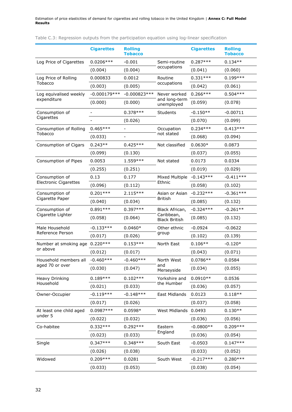|  |  |  |  |  |  |  |  | Table C.3: Regression outputs from the participation equation using log-linear specification |
|--|--|--|--|--|--|--|--|----------------------------------------------------------------------------------------------|
|--|--|--|--|--|--|--|--|----------------------------------------------------------------------------------------------|

|                                   | <b>Cigarettes</b> | <b>Rolling</b><br><b>Tobacco</b> |                                                      | <b>Cigarettes</b> | <b>Rolling</b><br><b>Tobacco</b> |
|-----------------------------------|-------------------|----------------------------------|------------------------------------------------------|-------------------|----------------------------------|
| Log Price of Cigarettes           | $0.0206***$       | $-0.001$                         | Semi-routine                                         | $0.287***$        | $0.134**$                        |
|                                   | (0.004)           | (0.004)                          | occupations                                          | (0.041)           | (0.060)                          |
| Log Price of Rolling              | 0.000833          | 0.0012                           | Routine                                              | $0.331***$        | $0.199***$                       |
| Tobacco                           | (0.003)           | (0.005)                          | occupations                                          | (0.042)           | (0.061)                          |
| Log equivalised weekly            | $-0.000179***$    | $-0.000823***$                   | Never worked                                         | $0.266***$        | $0.504***$                       |
| expenditure                       | (0.000)           | (0.000)                          | and long-term<br>unemployed                          | (0.059)           | (0.078)                          |
| Consumption of                    |                   | $0.378***$                       | <b>Students</b>                                      | $-0.150**$        | $-0.00711$                       |
| Cigarettes                        |                   | (0.026)                          |                                                      | (0.070)           | (0.099)                          |
| Consumption of Rolling            | $0.465***$        | $\overline{\phantom{0}}$         | Occupation                                           | $0.234***$        | $0.413***$                       |
| Tobacco                           | (0.033)           |                                  | not stated                                           | (0.068)           | (0.094)                          |
| Consumption of Cigars             | $0.243**$         | $0.425***$                       | Not classified                                       | $0.0630*$         | 0.0873                           |
|                                   | (0.099)           | (0.130)                          |                                                      | (0.037)           | (0.055)                          |
| Consumption of Pipes              | 0.0053            | 1.559***                         | Not stated                                           | 0.0173            | 0.0334                           |
|                                   | (0.255)           | (0.251)                          |                                                      | (0.019)           | (0.029)                          |
| Consumption of                    | 0.13              | 0.177                            | Mixed Multiple                                       | $-0.143***$       | $-0.411***$                      |
| <b>Electronic Cigarettes</b>      | (0.096)           | (0.112)                          | Ethnic                                               | (0.058)           | (0.102)                          |
| Consumption of<br>Cigarette Paper | $0.201***$        | $2.115***$                       | Asian or Asian<br><b>British</b>                     | $-0.232***$       | $-0.361***$                      |
|                                   | (0.040)           | (0.034)                          |                                                      | (0.085)           | (0.132)                          |
| Consumption of                    | $0.891***$        | $0.397***$                       | Black African,<br>Caribbean,<br><b>Black British</b> | $-0.324***$       | $-0.261**$                       |
| Cigarette Lighter                 | (0.058)           | (0.064)                          |                                                      | (0.085)           | (0.132)                          |
| Male Household                    | $-0.133***$       | $0.0460*$                        | Other ethnic<br>group                                | $-0.0924$         | $-0.0622$                        |
| Reference Person                  | (0.017)           | (0.026)                          |                                                      | (0.102)           | (0.139)                          |
| Number at smoking age             | $0.220***$        | $0.153***$                       | North East                                           | $0.106**$         | $-0.120*$                        |
| or above                          | (0.012)           | (0.017)                          |                                                      | (0.043)           | (0.071)                          |
| Household members all             | $-0.460***$       | $-0.460***$                      | North West                                           | $0.0786**$        | 0.0584                           |
| aged 70 or over                   | (0.030)           | (0.047)                          | and<br>Merseyside                                    | (0.034)           | (0.055)                          |
| Heavy Drinking                    | $0.189***$        | $0.102***$                       | Yorkshire and                                        | $0.0910**$        | 0.0536                           |
| Household                         | (0.021)           | (0.033)                          | the Humber                                           | (0.036)           | (0.057)                          |
| Owner-Occupier                    | $-0.119***$       | $-0.148***$                      | East Midlands                                        | 0.0123            | $0.118**$                        |
|                                   | (0.017)           | (0.026)                          |                                                      | (0.037)           | (0.058)                          |
| At least one child aged           | 0.0987***         | $0.0598*$                        | West Midlands 0.0493                                 |                   | $0.130**$                        |
| under 5                           | (0.022)           | (0.032)                          |                                                      | (0.036)           | (0.056)                          |
| Co-habitee                        | $0.332***$        | $0.292***$                       | Eastern                                              | $-0.0800**$       | $0.209***$                       |
|                                   | (0.023)           | (0.033)                          | England                                              | (0.036)           | (0.054)                          |
| Single                            | $0.347***$        | $0.348***$                       | South East                                           | $-0.0503$         | $0.147***$                       |
|                                   | (0.026)           | (0.038)                          |                                                      | (0.033)           | (0.052)                          |
| Widowed                           | $0.209***$        | 0.0281                           | South West                                           | $-0.217***$       | $0.280***$                       |
|                                   | (0.033)           | (0.053)                          |                                                      | (0.038)           | (0.054)                          |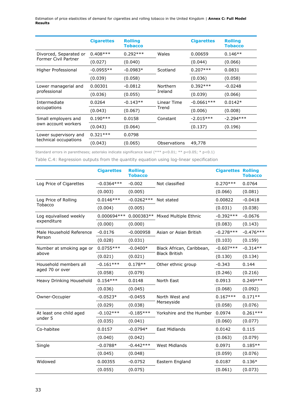|                                                | <b>Cigarettes</b> | <b>Rolling</b><br><b>Tobacco</b> |                      | <b>Cigarettes</b> | <b>Rolling</b><br><b>Tobacco</b> |
|------------------------------------------------|-------------------|----------------------------------|----------------------|-------------------|----------------------------------|
| Divorced, Separated or<br>Former Civil Partner | $0.408***$        | $0.292***$                       | Wales                | 0.00659           | $0.146**$                        |
|                                                | (0.027)           | (0.040)                          |                      | (0.044)           | (0.066)                          |
| Higher Professional                            | $-0.0955**$       | $-0.0983*$                       | Scotland             | $0.207***$        | 0.0831                           |
|                                                | (0.039)           | (0.058)                          |                      | (0.036)           | (0.058)                          |
| Lower managerial and                           | 0.00301           | $-0.0812$                        | <b>Northern</b>      | $0.392***$        | $-0.0248$                        |
| professional                                   | (0.036)           | (0.055)                          | Ireland              | (0.039)           | (0.066)                          |
| Intermediate                                   | 0.0264            | $-0.143**$                       | Linear Time<br>Trend | $-0.0661***$      | $0.0142*$                        |
| occupations                                    | (0.043)           | (0.067)                          |                      | (0.006)           | (0.008)                          |
| Small employers and                            | $0.190***$        | 0.0158                           | Constant             | $-2.015***$       | $-2.294***$                      |
| own account workers                            | (0.043)           | (0.064)                          |                      | (0.137)           | (0.196)                          |
| Lower supervisory and                          | $0.321***$        | 0.0798                           |                      |                   |                                  |
| technical occupations                          | (0.043)           | (0.065)                          | Observations         | 49,778            |                                  |

Standard errors in parentheses; asterisks indicate significance level (\*\*\* p<0.01; \*\* p<0.05; \* p<0.1)

Table C.4: Regression outputs from the quantity equation using log-linear specification

|                                          | <b>Cigarettes</b> | <b>Rolling</b><br><b>Tobacco</b> |                           | <b>Cigarettes Rolling</b> | <b>Tobacco</b> |
|------------------------------------------|-------------------|----------------------------------|---------------------------|---------------------------|----------------|
| Log Price of Cigarettes                  | $-0.0364***$      | $-0.002$                         | Not classified            | $0.270***$                | 0.0764         |
|                                          | (0.003)           | (0.005)                          |                           | (0.066)                   | (0.081)        |
| Log Price of Rolling                     | $0.0146***$       | $-0.0262***$                     | Not stated                | 0.00822                   | $-0.0418$      |
| Tobacco                                  | (0.004)           | (0.005)                          |                           | (0.031)                   | (0.038)        |
| Log equivalised weekly                   | 0.000694 ***      | $0.000383**$                     | Mixed Multiple Ethnic     | $-0.392***$               | $-0.0676$      |
| expenditure                              | (0.000)           | (0.000)                          |                           | (0.083)                   | (0.143)        |
| Male Household Reference                 | $-0.0176$         | $-0.000958$                      | Asian or Asian British    | $-0.278***$               | $-0.476***$    |
| Person                                   | (0.028)           | (0.031)                          |                           | (0.103)                   | (0.159)        |
| Number at smoking age or                 | $0.0755***$       | $-0.0400*$                       | Black African, Caribbean, | $-0.607***$               | $-0.314**$     |
| above                                    | (0.021)           | (0.021)                          | <b>Black British</b>      | (0.130)                   | (0.134)        |
| Household members all<br>aged 70 or over | $-0.161***$       | $0.178**$                        | Other ethnic group        | $-0.343$                  | 0.144          |
|                                          | (0.058)           | (0.079)                          |                           | (0.246)                   | (0.216)        |
| Heavy Drinking Household                 | $0.154***$        | 0.0148                           | North East                | 0.0913                    | $0.249***$     |
|                                          | (0.036)           | (0.045)                          |                           | (0.068)                   | (0.092)        |
| Owner-Occupier                           | $-0.0523*$        | $-0.0455$                        | North West and            | $0.167***$                | $0.171**$      |
|                                          | (0.029)           | (0.038)                          | Merseyside                | (0.058)                   | (0.076)        |
| At least one child aged                  | $-0.102***$       | $-0.185***$                      | Yorkshire and the Humber  | 0.0974                    | $0.261***$     |
| under 5                                  | (0.035)           | (0.041)                          |                           | (0.060)                   | (0.077)        |
| Co-habitee                               | 0.0157            | $-0.0794*$                       | East Midlands             | 0.0142                    | 0.115          |
|                                          | (0.040)           | (0.042)                          |                           | (0.063)                   | (0.079)        |
| Single                                   | $-0.0788*$        | $-0.442***$                      | <b>West Midlands</b>      | 0.0971                    | $0.185**$      |
|                                          | (0.045)           | (0.048)                          |                           | (0.059)                   | (0.076)        |
| Widowed                                  | 0.00355           | $-0.0752$                        | Eastern England           | 0.0187                    | $0.136*$       |
|                                          | (0.055)           | (0.075)                          |                           | (0.061)                   | (0.073)        |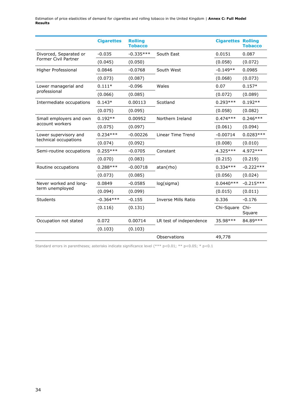|                                                | <b>Cigarettes</b> | <b>Rolling</b><br><b>Tobacco</b> |                            | <b>Cigarettes Rolling</b> | <b>Tobacco</b> |
|------------------------------------------------|-------------------|----------------------------------|----------------------------|---------------------------|----------------|
| Divorced, Separated or                         | $-0.035$          | $-0.335***$                      | South East                 | 0.0151                    | 0.087          |
| <b>Former Civil Partner</b>                    | (0.045)           | (0.050)                          |                            | (0.058)                   | (0.072)        |
| Higher Professional                            | 0.0846            | $-0.0768$                        | South West                 | $-0.149**$                | 0.0985         |
|                                                | (0.073)           | (0.087)                          |                            | (0.068)                   | (0.073)        |
| Lower managerial and                           | $0.111*$          | $-0.096$                         | Wales                      | 0.07                      | $0.157*$       |
| professional                                   | (0.066)           | (0.085)                          |                            | (0.072)                   | (0.089)        |
| Intermediate occupations                       | $0.143*$          | 0.00113                          | Scotland                   | $0.293***$                | $0.192**$      |
|                                                | (0.075)           | (0.095)                          |                            | (0.058)                   | (0.082)        |
| Small employers and own                        | $0.192**$         | 0.00952                          | Northern Ireland           | $0.474***$                | $0.246***$     |
| account workers                                | (0.075)           | (0.097)                          |                            | (0.061)                   | (0.094)        |
| Lower supervisory and<br>technical occupations | $0.234***$        | $-0.00226$                       | <b>Linear Time Trend</b>   | $-0.00714$                | $0.0283***$    |
|                                                | (0.074)           | (0.092)                          |                            | (0.008)                   | (0.010)        |
| Semi-routine occupations                       | $0.255***$        | $-0.0705$                        | Constant                   | 4.325 ***                 | 4.972 ***      |
|                                                | (0.070)           | (0.083)                          |                            | (0.215)                   | (0.219)        |
| Routine occupations                            | $0.288***$        | $-0.00718$                       | atan(rho)                  | $0.334***$                | $-0.222***$    |
|                                                | (0.073)           | (0.085)                          |                            | (0.056)                   | (0.024)        |
| Never worked and long-                         | 0.0849            | $-0.0585$                        | log(sigma)                 | $0.0440***$               | $-0.215***$    |
| term unemployed                                | (0.094)           | (0.099)                          |                            | (0.015)                   | (0.011)        |
| Students                                       | $-0.364***$       | $-0.155$                         | <b>Inverse Mills Ratio</b> | 0.336                     | $-0.176$       |
|                                                | (0.116)           | (0.131)                          |                            | Chi-Square Chi-           | Square         |
| Occupation not stated                          | 0.072             | 0.00714                          | LR test of independence    | 35.98***                  | 84.89***       |
|                                                | (0.103)           | (0.103)                          |                            |                           |                |
|                                                |                   |                                  | Observations               | 49,778                    |                |

Standard errors in parentheses; asterisks indicate significance level (\*\*\* p<0.01; \*\* p<0.05; \* p<0.1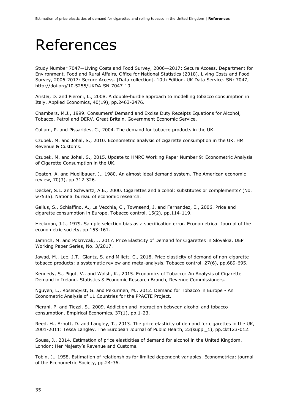### References

Study Number 7047—Living Costs and Food Survey, 2006—2017: Secure Access. Department for Environment, Food and Rural Affairs, Office for National Statistics (2018). Living Costs and Food Survey, 2006-2017: Secure Access. [Data collection]. 10th Edition. UK Data Service. SN: 7047, http://doi.org/10.5255/UKDA-SN-7047-10

Aristei, D. and Pieroni, L., 2008. A double-hurdle approach to modelling tobacco consumption in Italy. Applied Economics, 40(19), pp.2463-2476.

Chambers, M.J., 1999. Consumers' Demand and Excise Duty Receipts Equations for Alcohol, Tobacco, Petrol and DERV. Great Britain, Government Economic Service.

Cullum, P. and Pissarides, C., 2004. The demand for tobacco products in the UK.

Czubek, M. and Johal, S., 2010. Econometric analysis of cigarette consumption in the UK. HM Revenue & Customs.

Czubek, M. and Johal, S., 2015. Update to HMRC Working Paper Number 9: Econometric Analysis of Cigarette Consumption in the UK.

Deaton, A. and Muellbauer, J., 1980. An almost ideal demand system. The American economic review, 70(3), pp.312-326.

Decker, S.L. and Schwartz, A.E., 2000. Cigarettes and alcohol: substitutes or complements? (No. w7535). National bureau of economic research.

Gallus, S., Schiaffino, A., La Vecchia, C., Townsend, J. and Fernandez, E., 2006. Price and cigarette consumption in Europe. Tobacco control, 15(2), pp.114-119.

Heckman, J.J., 1979. Sample selection bias as a specification error. Econometrica: Journal of the econometric society, pp.153-161.

Jamrich, M. and Pokrivcak, J. 2017. Price Elasticity of Demand for Cigarettes in Slovakia. DEP Working Paper Series, No. 3/2017.

Jawad, M., Lee, J.T., Glantz, S. and Millett, C., 2018. Price elasticity of demand of non-cigarette tobacco products: a systematic review and meta-analysis. Tobacco control, 27(6), pp.689-695.

Kennedy, S., Pigott V., and Walsh, K., 2015. Economics of Tobacco: An Analysis of Cigarette Demand in Ireland. Statistics & Economic Research Branch, Revenue Commissioners.

Nguyen, L., Rosenqvist, G. and Pekurinen, M., 2012. Demand for Tobacco in Europe - An Econometric Analysis of 11 Countries for the PPACTE Project.

Pierani, P. and Tiezzi, S., 2009. Addiction and interaction between alcohol and tobacco consumption. Empirical Economics, 37(1), pp.1-23.

Reed, H., Arnott, D. and Langley, T., 2013. The price elasticity of demand for cigarettes in the UK, 2001-2011: Tessa Langley. The European Journal of Public Health, 23(suppl\_1), pp.ckt123-012.

Sousa, J., 2014. Estimation of price elasticities of demand for alcohol in the United Kingdom. London: Her Majesty's Revenue and Customs.

Tobin, J., 1958. Estimation of relationships for limited dependent variables. Econometrica: journal of the Econometric Society, pp.24-36.